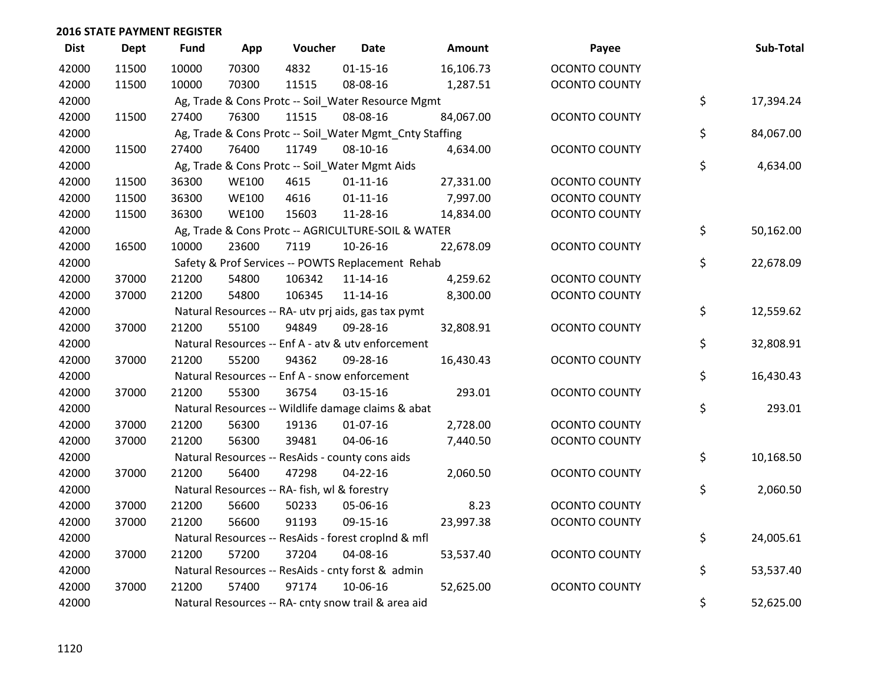| <b>Dist</b> | <b>Dept</b> | <b>Fund</b> | App          | Voucher                                      | Date                                                    | Amount    | Payee                | Sub-Total       |
|-------------|-------------|-------------|--------------|----------------------------------------------|---------------------------------------------------------|-----------|----------------------|-----------------|
| 42000       | 11500       | 10000       | 70300        | 4832                                         | $01 - 15 - 16$                                          | 16,106.73 | <b>OCONTO COUNTY</b> |                 |
| 42000       | 11500       | 10000       | 70300        | 11515                                        | 08-08-16                                                | 1,287.51  | <b>OCONTO COUNTY</b> |                 |
| 42000       |             |             |              |                                              | Ag, Trade & Cons Protc -- Soil_Water Resource Mgmt      |           |                      | \$<br>17,394.24 |
| 42000       | 11500       | 27400       | 76300        | 11515                                        | 08-08-16                                                | 84,067.00 | <b>OCONTO COUNTY</b> |                 |
| 42000       |             |             |              |                                              | Ag, Trade & Cons Protc -- Soil_Water Mgmt_Cnty Staffing |           |                      | \$<br>84,067.00 |
| 42000       | 11500       | 27400       | 76400        | 11749                                        | 08-10-16                                                | 4,634.00  | <b>OCONTO COUNTY</b> |                 |
| 42000       |             |             |              |                                              | Ag, Trade & Cons Protc -- Soil_Water Mgmt Aids          |           |                      | \$<br>4,634.00  |
| 42000       | 11500       | 36300       | <b>WE100</b> | 4615                                         | $01 - 11 - 16$                                          | 27,331.00 | <b>OCONTO COUNTY</b> |                 |
| 42000       | 11500       | 36300       | <b>WE100</b> | 4616                                         | $01 - 11 - 16$                                          | 7,997.00  | <b>OCONTO COUNTY</b> |                 |
| 42000       | 11500       | 36300       | <b>WE100</b> | 15603                                        | 11-28-16                                                | 14,834.00 | <b>OCONTO COUNTY</b> |                 |
| 42000       |             |             |              |                                              | Ag, Trade & Cons Protc -- AGRICULTURE-SOIL & WATER      |           |                      | \$<br>50,162.00 |
| 42000       | 16500       | 10000       | 23600        | 7119                                         | 10-26-16                                                | 22,678.09 | <b>OCONTO COUNTY</b> |                 |
| 42000       |             |             |              |                                              | Safety & Prof Services -- POWTS Replacement Rehab       |           |                      | \$<br>22,678.09 |
| 42000       | 37000       | 21200       | 54800        | 106342                                       | $11 - 14 - 16$                                          | 4,259.62  | <b>OCONTO COUNTY</b> |                 |
| 42000       | 37000       | 21200       | 54800        | 106345                                       | $11 - 14 - 16$                                          | 8,300.00  | <b>OCONTO COUNTY</b> |                 |
| 42000       |             |             |              |                                              | Natural Resources -- RA- utv prj aids, gas tax pymt     |           |                      | \$<br>12,559.62 |
| 42000       | 37000       | 21200       | 55100        | 94849                                        | 09-28-16                                                | 32,808.91 | <b>OCONTO COUNTY</b> |                 |
| 42000       |             |             |              |                                              | Natural Resources -- Enf A - atv & utv enforcement      |           |                      | \$<br>32,808.91 |
| 42000       | 37000       | 21200       | 55200        | 94362                                        | 09-28-16                                                | 16,430.43 | <b>OCONTO COUNTY</b> |                 |
| 42000       |             |             |              |                                              | Natural Resources -- Enf A - snow enforcement           |           |                      | \$<br>16,430.43 |
| 42000       | 37000       | 21200       | 55300        | 36754                                        | $03 - 15 - 16$                                          | 293.01    | OCONTO COUNTY        |                 |
| 42000       |             |             |              |                                              | Natural Resources -- Wildlife damage claims & abat      |           |                      | \$<br>293.01    |
| 42000       | 37000       | 21200       | 56300        | 19136                                        | $01-07-16$                                              | 2,728.00  | <b>OCONTO COUNTY</b> |                 |
| 42000       | 37000       | 21200       | 56300        | 39481                                        | 04-06-16                                                | 7,440.50  | <b>OCONTO COUNTY</b> |                 |
| 42000       |             |             |              |                                              | Natural Resources -- ResAids - county cons aids         |           |                      | \$<br>10,168.50 |
| 42000       | 37000       | 21200       | 56400        | 47298                                        | 04-22-16                                                | 2,060.50  | <b>OCONTO COUNTY</b> |                 |
| 42000       |             |             |              | Natural Resources -- RA- fish, wl & forestry |                                                         |           |                      | \$<br>2,060.50  |
| 42000       | 37000       | 21200       | 56600        | 50233                                        | 05-06-16                                                | 8.23      | <b>OCONTO COUNTY</b> |                 |
| 42000       | 37000       | 21200       | 56600        | 91193                                        | 09-15-16                                                | 23,997.38 | <b>OCONTO COUNTY</b> |                 |
| 42000       |             |             |              |                                              | Natural Resources -- ResAids - forest croplnd & mfl     |           |                      | \$<br>24,005.61 |
| 42000       | 37000       | 21200       | 57200        | 37204                                        | 04-08-16                                                | 53,537.40 | <b>OCONTO COUNTY</b> |                 |
| 42000       |             |             |              |                                              | Natural Resources -- ResAids - cnty forst & admin       |           |                      | \$<br>53,537.40 |
| 42000       | 37000       | 21200       | 57400        | 97174                                        | 10-06-16                                                | 52,625.00 | <b>OCONTO COUNTY</b> |                 |
| 42000       |             |             |              |                                              | Natural Resources -- RA- cnty snow trail & area aid     |           |                      | \$<br>52,625.00 |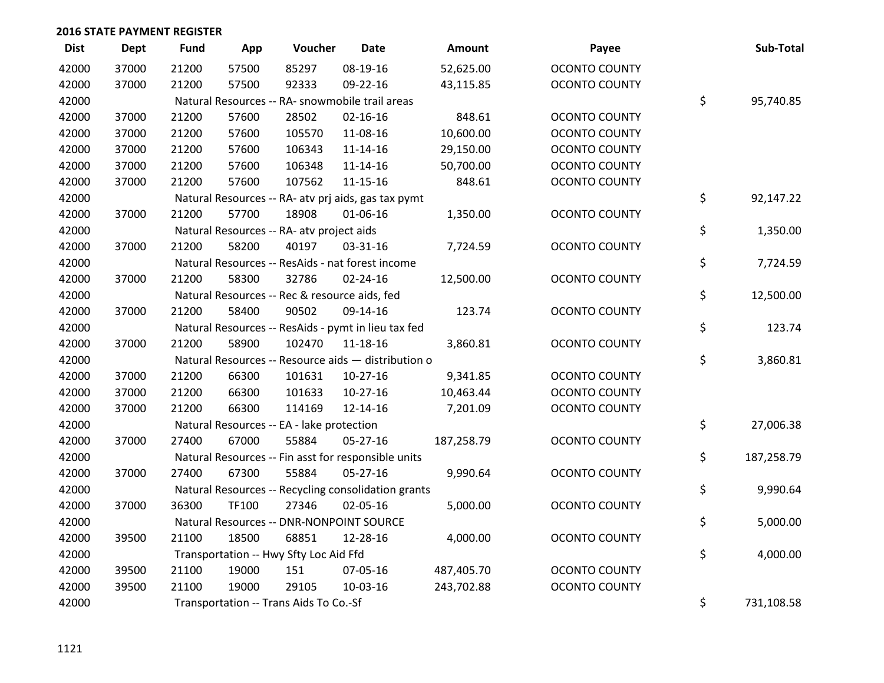| <b>Dist</b> | <b>Dept</b> | <b>Fund</b> | App   | Voucher                                   | <b>Date</b>                                         | Amount     | Payee                | Sub-Total        |
|-------------|-------------|-------------|-------|-------------------------------------------|-----------------------------------------------------|------------|----------------------|------------------|
| 42000       | 37000       | 21200       | 57500 | 85297                                     | 08-19-16                                            | 52,625.00  | <b>OCONTO COUNTY</b> |                  |
| 42000       | 37000       | 21200       | 57500 | 92333                                     | 09-22-16                                            | 43,115.85  | <b>OCONTO COUNTY</b> |                  |
| 42000       |             |             |       |                                           | Natural Resources -- RA- snowmobile trail areas     |            |                      | \$<br>95,740.85  |
| 42000       | 37000       | 21200       | 57600 | 28502                                     | $02 - 16 - 16$                                      | 848.61     | <b>OCONTO COUNTY</b> |                  |
| 42000       | 37000       | 21200       | 57600 | 105570                                    | 11-08-16                                            | 10,600.00  | <b>OCONTO COUNTY</b> |                  |
| 42000       | 37000       | 21200       | 57600 | 106343                                    | $11 - 14 - 16$                                      | 29,150.00  | <b>OCONTO COUNTY</b> |                  |
| 42000       | 37000       | 21200       | 57600 | 106348                                    | $11 - 14 - 16$                                      | 50,700.00  | OCONTO COUNTY        |                  |
| 42000       | 37000       | 21200       | 57600 | 107562                                    | $11 - 15 - 16$                                      | 848.61     | <b>OCONTO COUNTY</b> |                  |
| 42000       |             |             |       |                                           | Natural Resources -- RA- atv prj aids, gas tax pymt |            |                      | \$<br>92,147.22  |
| 42000       | 37000       | 21200       | 57700 | 18908                                     | 01-06-16                                            | 1,350.00   | <b>OCONTO COUNTY</b> |                  |
| 42000       |             |             |       | Natural Resources -- RA- atv project aids |                                                     |            |                      | \$<br>1,350.00   |
| 42000       | 37000       | 21200       | 58200 | 40197                                     | 03-31-16                                            | 7,724.59   | <b>OCONTO COUNTY</b> |                  |
| 42000       |             |             |       |                                           | Natural Resources -- ResAids - nat forest income    |            |                      | \$<br>7,724.59   |
| 42000       | 37000       | 21200       | 58300 | 32786                                     | $02 - 24 - 16$                                      | 12,500.00  | <b>OCONTO COUNTY</b> |                  |
| 42000       |             |             |       |                                           | Natural Resources -- Rec & resource aids, fed       |            |                      | \$<br>12,500.00  |
| 42000       | 37000       | 21200       | 58400 | 90502                                     | 09-14-16                                            | 123.74     | <b>OCONTO COUNTY</b> |                  |
| 42000       |             |             |       |                                           | Natural Resources -- ResAids - pymt in lieu tax fed |            |                      | \$<br>123.74     |
| 42000       | 37000       | 21200       | 58900 | 102470                                    | 11-18-16                                            | 3,860.81   | <b>OCONTO COUNTY</b> |                  |
| 42000       |             |             |       |                                           | Natural Resources -- Resource aids - distribution o |            |                      | \$<br>3,860.81   |
| 42000       | 37000       | 21200       | 66300 | 101631                                    | $10-27-16$                                          | 9,341.85   | <b>OCONTO COUNTY</b> |                  |
| 42000       | 37000       | 21200       | 66300 | 101633                                    | $10-27-16$                                          | 10,463.44  | <b>OCONTO COUNTY</b> |                  |
| 42000       | 37000       | 21200       | 66300 | 114169                                    | 12-14-16                                            | 7,201.09   | <b>OCONTO COUNTY</b> |                  |
| 42000       |             |             |       | Natural Resources -- EA - lake protection |                                                     |            |                      | \$<br>27,006.38  |
| 42000       | 37000       | 27400       | 67000 | 55884                                     | $05 - 27 - 16$                                      | 187,258.79 | <b>OCONTO COUNTY</b> |                  |
| 42000       |             |             |       |                                           | Natural Resources -- Fin asst for responsible units |            |                      | \$<br>187,258.79 |
| 42000       | 37000       | 27400       | 67300 | 55884                                     | 05-27-16                                            | 9,990.64   | <b>OCONTO COUNTY</b> |                  |
| 42000       |             |             |       |                                           | Natural Resources -- Recycling consolidation grants |            |                      | \$<br>9,990.64   |
| 42000       | 37000       | 36300       | TF100 | 27346                                     | 02-05-16                                            | 5,000.00   | <b>OCONTO COUNTY</b> |                  |
| 42000       |             |             |       |                                           | Natural Resources -- DNR-NONPOINT SOURCE            |            |                      | \$<br>5,000.00   |
| 42000       | 39500       | 21100       | 18500 | 68851                                     | 12-28-16                                            | 4,000.00   | <b>OCONTO COUNTY</b> |                  |
| 42000       |             |             |       | Transportation -- Hwy Sfty Loc Aid Ffd    |                                                     |            |                      | \$<br>4,000.00   |
| 42000       | 39500       | 21100       | 19000 | 151                                       | 07-05-16                                            | 487,405.70 | <b>OCONTO COUNTY</b> |                  |
| 42000       | 39500       | 21100       | 19000 | 29105                                     | 10-03-16                                            | 243,702.88 | <b>OCONTO COUNTY</b> |                  |
| 42000       |             |             |       | Transportation -- Trans Aids To Co.-Sf    |                                                     |            |                      | \$<br>731,108.58 |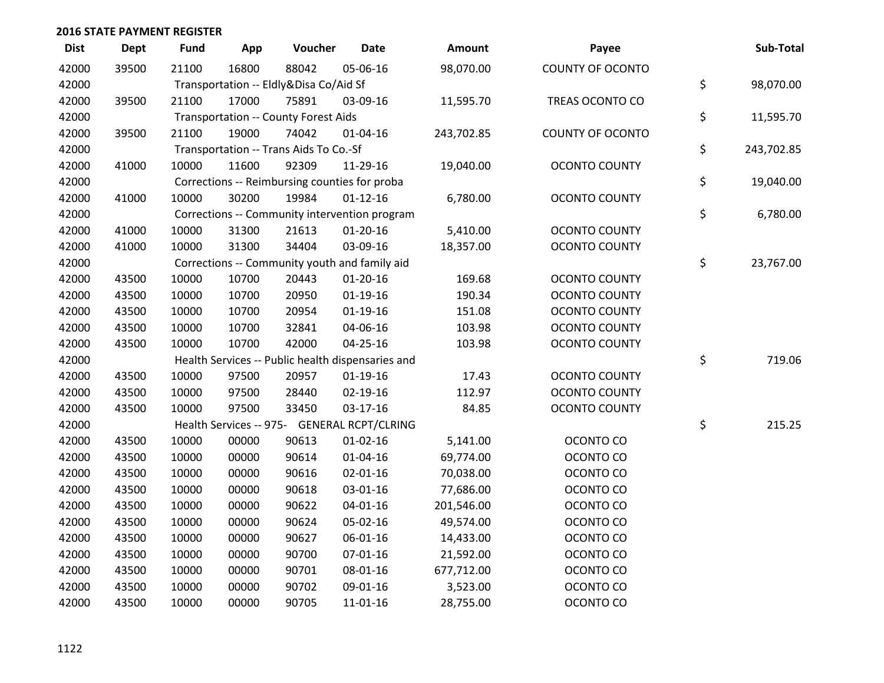| <b>Dist</b> | Dept  | <b>Fund</b> | App   | Voucher                                           | <b>Date</b>    | <b>Amount</b> | Payee                   | Sub-Total        |
|-------------|-------|-------------|-------|---------------------------------------------------|----------------|---------------|-------------------------|------------------|
| 42000       | 39500 | 21100       | 16800 | 88042                                             | 05-06-16       | 98,070.00     | <b>COUNTY OF OCONTO</b> |                  |
| 42000       |       |             |       | Transportation -- Eldly&Disa Co/Aid Sf            |                |               |                         | \$<br>98,070.00  |
| 42000       | 39500 | 21100       | 17000 | 75891                                             | 03-09-16       | 11,595.70     | TREAS OCONTO CO         |                  |
| 42000       |       |             |       | <b>Transportation -- County Forest Aids</b>       |                |               |                         | \$<br>11,595.70  |
| 42000       | 39500 | 21100       | 19000 | 74042                                             | $01 - 04 - 16$ | 243,702.85    | <b>COUNTY OF OCONTO</b> |                  |
| 42000       |       |             |       | Transportation -- Trans Aids To Co.-Sf            |                |               |                         | \$<br>243,702.85 |
| 42000       | 41000 | 10000       | 11600 | 92309                                             | 11-29-16       | 19,040.00     | <b>OCONTO COUNTY</b>    |                  |
| 42000       |       |             |       | Corrections -- Reimbursing counties for proba     |                |               |                         | \$<br>19,040.00  |
| 42000       | 41000 | 10000       | 30200 | 19984                                             | $01 - 12 - 16$ | 6,780.00      | <b>OCONTO COUNTY</b>    |                  |
| 42000       |       |             |       | Corrections -- Community intervention program     |                |               |                         | \$<br>6,780.00   |
| 42000       | 41000 | 10000       | 31300 | 21613                                             | $01-20-16$     | 5,410.00      | <b>OCONTO COUNTY</b>    |                  |
| 42000       | 41000 | 10000       | 31300 | 34404                                             | 03-09-16       | 18,357.00     | <b>OCONTO COUNTY</b>    |                  |
| 42000       |       |             |       | Corrections -- Community youth and family aid     |                |               |                         | \$<br>23,767.00  |
| 42000       | 43500 | 10000       | 10700 | 20443                                             | $01 - 20 - 16$ | 169.68        | <b>OCONTO COUNTY</b>    |                  |
| 42000       | 43500 | 10000       | 10700 | 20950                                             | $01-19-16$     | 190.34        | <b>OCONTO COUNTY</b>    |                  |
| 42000       | 43500 | 10000       | 10700 | 20954                                             | $01-19-16$     | 151.08        | <b>OCONTO COUNTY</b>    |                  |
| 42000       | 43500 | 10000       | 10700 | 32841                                             | 04-06-16       | 103.98        | <b>OCONTO COUNTY</b>    |                  |
| 42000       | 43500 | 10000       | 10700 | 42000                                             | 04-25-16       | 103.98        | <b>OCONTO COUNTY</b>    |                  |
| 42000       |       |             |       | Health Services -- Public health dispensaries and |                |               |                         | \$<br>719.06     |
| 42000       | 43500 | 10000       | 97500 | 20957                                             | $01-19-16$     | 17.43         | <b>OCONTO COUNTY</b>    |                  |
| 42000       | 43500 | 10000       | 97500 | 28440                                             | $02 - 19 - 16$ | 112.97        | <b>OCONTO COUNTY</b>    |                  |
| 42000       | 43500 | 10000       | 97500 | 33450                                             | $03-17-16$     | 84.85         | <b>OCONTO COUNTY</b>    |                  |
| 42000       |       |             |       | Health Services -- 975- GENERAL RCPT/CLRING       |                |               |                         | \$<br>215.25     |
| 42000       | 43500 | 10000       | 00000 | 90613                                             | $01 - 02 - 16$ | 5,141.00      | OCONTO CO               |                  |
| 42000       | 43500 | 10000       | 00000 | 90614                                             | $01 - 04 - 16$ | 69,774.00     | OCONTO CO               |                  |
| 42000       | 43500 | 10000       | 00000 | 90616                                             | $02 - 01 - 16$ | 70,038.00     | OCONTO CO               |                  |
| 42000       | 43500 | 10000       | 00000 | 90618                                             | 03-01-16       | 77,686.00     | OCONTO CO               |                  |
| 42000       | 43500 | 10000       | 00000 | 90622                                             | $04 - 01 - 16$ | 201,546.00    | OCONTO CO               |                  |
| 42000       | 43500 | 10000       | 00000 | 90624                                             | 05-02-16       | 49,574.00     | OCONTO CO               |                  |
| 42000       | 43500 | 10000       | 00000 | 90627                                             | 06-01-16       | 14,433.00     | OCONTO CO               |                  |
| 42000       | 43500 | 10000       | 00000 | 90700                                             | 07-01-16       | 21,592.00     | OCONTO CO               |                  |
| 42000       | 43500 | 10000       | 00000 | 90701                                             | 08-01-16       | 677,712.00    | OCONTO CO               |                  |
| 42000       | 43500 | 10000       | 00000 | 90702                                             | 09-01-16       | 3,523.00      | OCONTO CO               |                  |
| 42000       | 43500 | 10000       | 00000 | 90705                                             | 11-01-16       | 28,755.00     | OCONTO CO               |                  |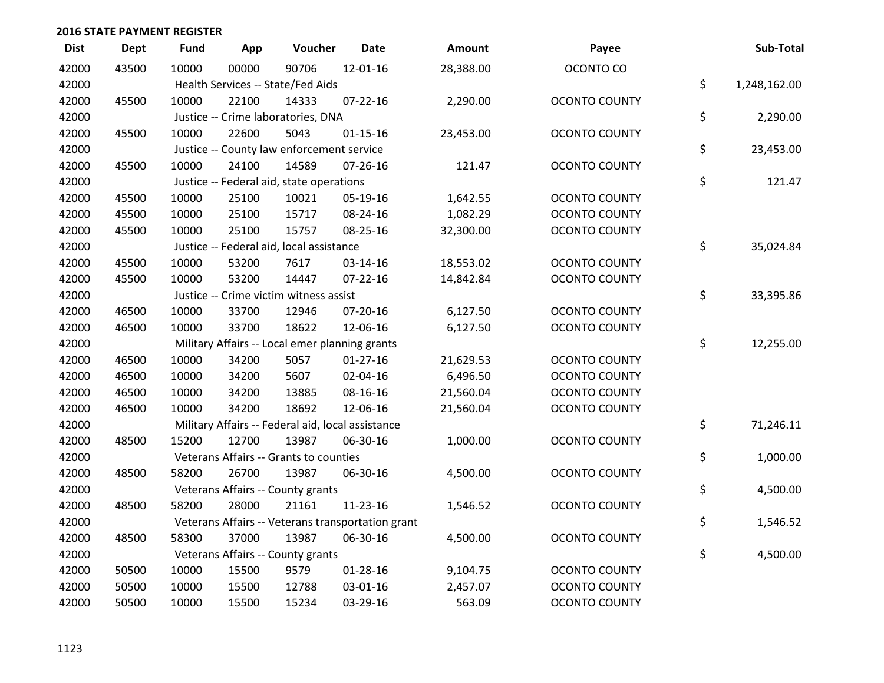| <b>Dist</b> | <b>Dept</b> | <b>Fund</b> | App   | Voucher                                           | <b>Date</b>                                       | Amount    | Payee                | Sub-Total          |
|-------------|-------------|-------------|-------|---------------------------------------------------|---------------------------------------------------|-----------|----------------------|--------------------|
| 42000       | 43500       | 10000       | 00000 | 90706                                             | 12-01-16                                          | 28,388.00 | OCONTO CO            |                    |
| 42000       |             |             |       | Health Services -- State/Fed Aids                 |                                                   |           |                      | \$<br>1,248,162.00 |
| 42000       | 45500       | 10000       | 22100 | 14333                                             | $07 - 22 - 16$                                    | 2,290.00  | <b>OCONTO COUNTY</b> |                    |
| 42000       |             |             |       | Justice -- Crime laboratories, DNA                |                                                   |           |                      | \$<br>2,290.00     |
| 42000       | 45500       | 10000       | 22600 | 5043                                              | $01 - 15 - 16$                                    | 23,453.00 | <b>OCONTO COUNTY</b> |                    |
| 42000       |             |             |       | Justice -- County law enforcement service         |                                                   |           |                      | \$<br>23,453.00    |
| 42000       | 45500       | 10000       | 24100 | 14589                                             | $07 - 26 - 16$                                    | 121.47    | <b>OCONTO COUNTY</b> |                    |
| 42000       |             |             |       | Justice -- Federal aid, state operations          |                                                   |           |                      | \$<br>121.47       |
| 42000       | 45500       | 10000       | 25100 | 10021                                             | 05-19-16                                          | 1,642.55  | <b>OCONTO COUNTY</b> |                    |
| 42000       | 45500       | 10000       | 25100 | 15717                                             | 08-24-16                                          | 1,082.29  | <b>OCONTO COUNTY</b> |                    |
| 42000       | 45500       | 10000       | 25100 | 15757                                             | 08-25-16                                          | 32,300.00 | <b>OCONTO COUNTY</b> |                    |
| 42000       |             |             |       | Justice -- Federal aid, local assistance          |                                                   |           |                      | \$<br>35,024.84    |
| 42000       | 45500       | 10000       | 53200 | 7617                                              | 03-14-16                                          | 18,553.02 | <b>OCONTO COUNTY</b> |                    |
| 42000       | 45500       | 10000       | 53200 | 14447                                             | $07 - 22 - 16$                                    | 14,842.84 | <b>OCONTO COUNTY</b> |                    |
| 42000       |             |             |       | Justice -- Crime victim witness assist            |                                                   |           |                      | \$<br>33,395.86    |
| 42000       | 46500       | 10000       | 33700 | 12946                                             | $07 - 20 - 16$                                    | 6,127.50  | <b>OCONTO COUNTY</b> |                    |
| 42000       | 46500       | 10000       | 33700 | 18622                                             | 12-06-16                                          | 6,127.50  | <b>OCONTO COUNTY</b> |                    |
| 42000       |             |             |       | Military Affairs -- Local emer planning grants    |                                                   |           |                      | \$<br>12,255.00    |
| 42000       | 46500       | 10000       | 34200 | 5057                                              | $01-27-16$                                        | 21,629.53 | <b>OCONTO COUNTY</b> |                    |
| 42000       | 46500       | 10000       | 34200 | 5607                                              | 02-04-16                                          | 6,496.50  | <b>OCONTO COUNTY</b> |                    |
| 42000       | 46500       | 10000       | 34200 | 13885                                             | 08-16-16                                          | 21,560.04 | <b>OCONTO COUNTY</b> |                    |
| 42000       | 46500       | 10000       | 34200 | 18692                                             | 12-06-16                                          | 21,560.04 | <b>OCONTO COUNTY</b> |                    |
| 42000       |             |             |       | Military Affairs -- Federal aid, local assistance |                                                   |           |                      | \$<br>71,246.11    |
| 42000       | 48500       | 15200       | 12700 | 13987                                             | 06-30-16                                          | 1,000.00  | <b>OCONTO COUNTY</b> |                    |
| 42000       |             |             |       | Veterans Affairs -- Grants to counties            |                                                   |           |                      | \$<br>1,000.00     |
| 42000       | 48500       | 58200       | 26700 | 13987                                             | 06-30-16                                          | 4,500.00  | <b>OCONTO COUNTY</b> |                    |
| 42000       |             |             |       | Veterans Affairs -- County grants                 |                                                   |           |                      | \$<br>4,500.00     |
| 42000       | 48500       | 58200       | 28000 | 21161                                             | 11-23-16                                          | 1,546.52  | <b>OCONTO COUNTY</b> |                    |
| 42000       |             |             |       |                                                   | Veterans Affairs -- Veterans transportation grant |           |                      | \$<br>1,546.52     |
| 42000       | 48500       | 58300       | 37000 | 13987                                             | 06-30-16                                          | 4,500.00  | <b>OCONTO COUNTY</b> |                    |
| 42000       |             |             |       | Veterans Affairs -- County grants                 |                                                   |           |                      | \$<br>4,500.00     |
| 42000       | 50500       | 10000       | 15500 | 9579                                              | $01 - 28 - 16$                                    | 9,104.75  | <b>OCONTO COUNTY</b> |                    |
| 42000       | 50500       | 10000       | 15500 | 12788                                             | 03-01-16                                          | 2,457.07  | <b>OCONTO COUNTY</b> |                    |
| 42000       | 50500       | 10000       | 15500 | 15234                                             | 03-29-16                                          | 563.09    | <b>OCONTO COUNTY</b> |                    |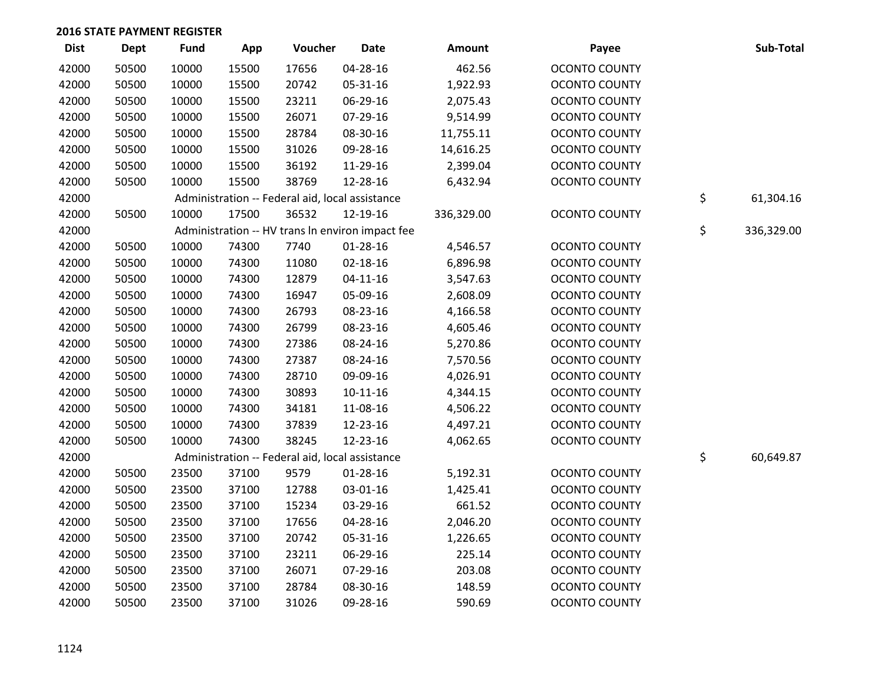| <b>Dist</b> | Dept  | <b>Fund</b> | App   | Voucher                                          | <b>Date</b>    | Amount     | Payee                | Sub-Total        |
|-------------|-------|-------------|-------|--------------------------------------------------|----------------|------------|----------------------|------------------|
| 42000       | 50500 | 10000       | 15500 | 17656                                            | 04-28-16       | 462.56     | <b>OCONTO COUNTY</b> |                  |
| 42000       | 50500 | 10000       | 15500 | 20742                                            | 05-31-16       | 1,922.93   | <b>OCONTO COUNTY</b> |                  |
| 42000       | 50500 | 10000       | 15500 | 23211                                            | 06-29-16       | 2,075.43   | <b>OCONTO COUNTY</b> |                  |
| 42000       | 50500 | 10000       | 15500 | 26071                                            | 07-29-16       | 9,514.99   | <b>OCONTO COUNTY</b> |                  |
| 42000       | 50500 | 10000       | 15500 | 28784                                            | 08-30-16       | 11,755.11  | <b>OCONTO COUNTY</b> |                  |
| 42000       | 50500 | 10000       | 15500 | 31026                                            | 09-28-16       | 14,616.25  | <b>OCONTO COUNTY</b> |                  |
| 42000       | 50500 | 10000       | 15500 | 36192                                            | 11-29-16       | 2,399.04   | <b>OCONTO COUNTY</b> |                  |
| 42000       | 50500 | 10000       | 15500 | 38769                                            | 12-28-16       | 6,432.94   | <b>OCONTO COUNTY</b> |                  |
| 42000       |       |             |       | Administration -- Federal aid, local assistance  |                |            |                      | \$<br>61,304.16  |
| 42000       | 50500 | 10000       | 17500 | 36532                                            | 12-19-16       | 336,329.00 | <b>OCONTO COUNTY</b> |                  |
| 42000       |       |             |       | Administration -- HV trans In environ impact fee |                |            |                      | \$<br>336,329.00 |
| 42000       | 50500 | 10000       | 74300 | 7740                                             | $01 - 28 - 16$ | 4,546.57   | <b>OCONTO COUNTY</b> |                  |
| 42000       | 50500 | 10000       | 74300 | 11080                                            | $02 - 18 - 16$ | 6,896.98   | <b>OCONTO COUNTY</b> |                  |
| 42000       | 50500 | 10000       | 74300 | 12879                                            | $04 - 11 - 16$ | 3,547.63   | <b>OCONTO COUNTY</b> |                  |
| 42000       | 50500 | 10000       | 74300 | 16947                                            | 05-09-16       | 2,608.09   | <b>OCONTO COUNTY</b> |                  |
| 42000       | 50500 | 10000       | 74300 | 26793                                            | 08-23-16       | 4,166.58   | <b>OCONTO COUNTY</b> |                  |
| 42000       | 50500 | 10000       | 74300 | 26799                                            | 08-23-16       | 4,605.46   | <b>OCONTO COUNTY</b> |                  |
| 42000       | 50500 | 10000       | 74300 | 27386                                            | 08-24-16       | 5,270.86   | <b>OCONTO COUNTY</b> |                  |
| 42000       | 50500 | 10000       | 74300 | 27387                                            | 08-24-16       | 7,570.56   | <b>OCONTO COUNTY</b> |                  |
| 42000       | 50500 | 10000       | 74300 | 28710                                            | 09-09-16       | 4,026.91   | <b>OCONTO COUNTY</b> |                  |
| 42000       | 50500 | 10000       | 74300 | 30893                                            | $10-11-16$     | 4,344.15   | <b>OCONTO COUNTY</b> |                  |
| 42000       | 50500 | 10000       | 74300 | 34181                                            | 11-08-16       | 4,506.22   | <b>OCONTO COUNTY</b> |                  |
| 42000       | 50500 | 10000       | 74300 | 37839                                            | 12-23-16       | 4,497.21   | <b>OCONTO COUNTY</b> |                  |
| 42000       | 50500 | 10000       | 74300 | 38245                                            | 12-23-16       | 4,062.65   | <b>OCONTO COUNTY</b> |                  |
| 42000       |       |             |       | Administration -- Federal aid, local assistance  |                |            |                      | \$<br>60,649.87  |
| 42000       | 50500 | 23500       | 37100 | 9579                                             | 01-28-16       | 5,192.31   | <b>OCONTO COUNTY</b> |                  |
| 42000       | 50500 | 23500       | 37100 | 12788                                            | 03-01-16       | 1,425.41   | <b>OCONTO COUNTY</b> |                  |
| 42000       | 50500 | 23500       | 37100 | 15234                                            | 03-29-16       | 661.52     | <b>OCONTO COUNTY</b> |                  |
| 42000       | 50500 | 23500       | 37100 | 17656                                            | 04-28-16       | 2,046.20   | <b>OCONTO COUNTY</b> |                  |
| 42000       | 50500 | 23500       | 37100 | 20742                                            | 05-31-16       | 1,226.65   | <b>OCONTO COUNTY</b> |                  |
| 42000       | 50500 | 23500       | 37100 | 23211                                            | 06-29-16       | 225.14     | <b>OCONTO COUNTY</b> |                  |
| 42000       | 50500 | 23500       | 37100 | 26071                                            | 07-29-16       | 203.08     | <b>OCONTO COUNTY</b> |                  |
| 42000       | 50500 | 23500       | 37100 | 28784                                            | 08-30-16       | 148.59     | <b>OCONTO COUNTY</b> |                  |
| 42000       | 50500 | 23500       | 37100 | 31026                                            | 09-28-16       | 590.69     | <b>OCONTO COUNTY</b> |                  |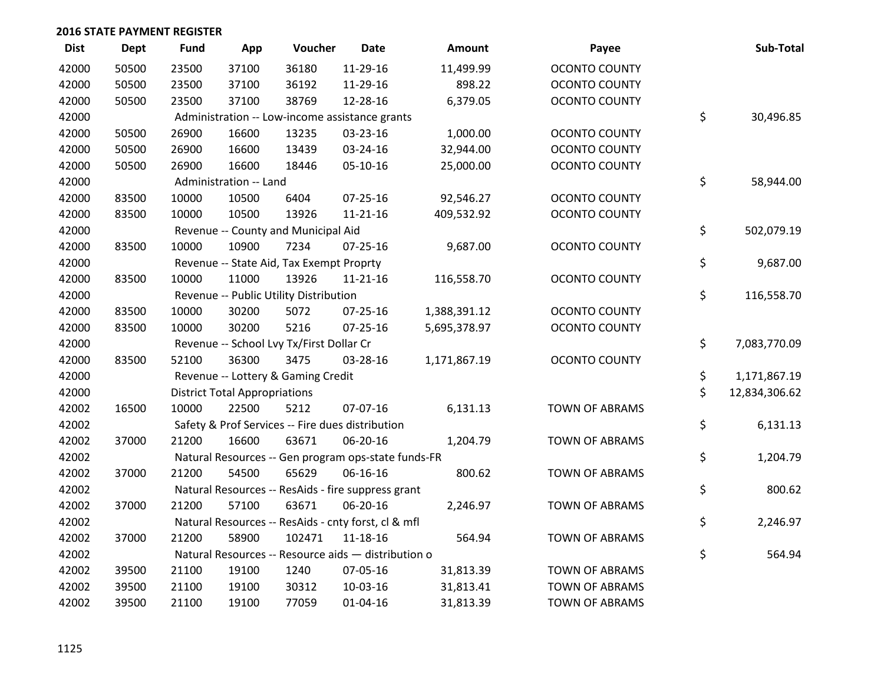| <b>Dist</b> | <b>Dept</b> | <b>Fund</b> | App                                  | Voucher                                  | <b>Date</b>                                         | Amount       | Payee                 | Sub-Total           |
|-------------|-------------|-------------|--------------------------------------|------------------------------------------|-----------------------------------------------------|--------------|-----------------------|---------------------|
| 42000       | 50500       | 23500       | 37100                                | 36180                                    | 11-29-16                                            | 11,499.99    | <b>OCONTO COUNTY</b>  |                     |
| 42000       | 50500       | 23500       | 37100                                | 36192                                    | 11-29-16                                            | 898.22       | <b>OCONTO COUNTY</b>  |                     |
| 42000       | 50500       | 23500       | 37100                                | 38769                                    | 12-28-16                                            | 6,379.05     | <b>OCONTO COUNTY</b>  |                     |
| 42000       |             |             |                                      |                                          | Administration -- Low-income assistance grants      |              |                       | \$<br>30,496.85     |
| 42000       | 50500       | 26900       | 16600                                | 13235                                    | 03-23-16                                            | 1,000.00     | <b>OCONTO COUNTY</b>  |                     |
| 42000       | 50500       | 26900       | 16600                                | 13439                                    | 03-24-16                                            | 32,944.00    | <b>OCONTO COUNTY</b>  |                     |
| 42000       | 50500       | 26900       | 16600                                | 18446                                    | 05-10-16                                            | 25,000.00    | <b>OCONTO COUNTY</b>  |                     |
| 42000       |             |             | Administration -- Land               |                                          |                                                     |              |                       | \$<br>58,944.00     |
| 42000       | 83500       | 10000       | 10500                                | 6404                                     | 07-25-16                                            | 92,546.27    | <b>OCONTO COUNTY</b>  |                     |
| 42000       | 83500       | 10000       | 10500                                | 13926                                    | $11 - 21 - 16$                                      | 409,532.92   | <b>OCONTO COUNTY</b>  |                     |
| 42000       |             |             |                                      | Revenue -- County and Municipal Aid      |                                                     |              |                       | \$<br>502,079.19    |
| 42000       | 83500       | 10000       | 10900                                | 7234                                     | $07 - 25 - 16$                                      | 9,687.00     | <b>OCONTO COUNTY</b>  |                     |
| 42000       |             |             |                                      | Revenue -- State Aid, Tax Exempt Proprty |                                                     |              |                       | \$<br>9,687.00      |
| 42000       | 83500       | 10000       | 11000                                | 13926                                    | $11 - 21 - 16$                                      | 116,558.70   | <b>OCONTO COUNTY</b>  |                     |
| 42000       |             |             |                                      | Revenue -- Public Utility Distribution   |                                                     |              |                       | \$<br>116,558.70    |
| 42000       | 83500       | 10000       | 30200                                | 5072                                     | $07 - 25 - 16$                                      | 1,388,391.12 | <b>OCONTO COUNTY</b>  |                     |
| 42000       | 83500       | 10000       | 30200                                | 5216                                     | $07 - 25 - 16$                                      | 5,695,378.97 | <b>OCONTO COUNTY</b>  |                     |
| 42000       |             |             |                                      | Revenue -- School Lvy Tx/First Dollar Cr |                                                     |              |                       | \$<br>7,083,770.09  |
| 42000       | 83500       | 52100       | 36300                                | 3475                                     | 03-28-16                                            | 1,171,867.19 | <b>OCONTO COUNTY</b>  |                     |
| 42000       |             |             |                                      | Revenue -- Lottery & Gaming Credit       |                                                     |              |                       | \$<br>1,171,867.19  |
| 42000       |             |             | <b>District Total Appropriations</b> |                                          |                                                     |              |                       | \$<br>12,834,306.62 |
| 42002       | 16500       | 10000       | 22500                                | 5212                                     | 07-07-16                                            | 6,131.13     | <b>TOWN OF ABRAMS</b> |                     |
| 42002       |             |             |                                      |                                          | Safety & Prof Services -- Fire dues distribution    |              |                       | \$<br>6,131.13      |
| 42002       | 37000       | 21200       | 16600                                | 63671                                    | 06-20-16                                            | 1,204.79     | <b>TOWN OF ABRAMS</b> |                     |
| 42002       |             |             |                                      |                                          | Natural Resources -- Gen program ops-state funds-FR |              |                       | \$<br>1,204.79      |
| 42002       | 37000       | 21200       | 54500                                | 65629                                    | 06-16-16                                            | 800.62       | <b>TOWN OF ABRAMS</b> |                     |
| 42002       |             |             |                                      |                                          | Natural Resources -- ResAids - fire suppress grant  |              |                       | \$<br>800.62        |
| 42002       | 37000       | 21200       | 57100                                | 63671                                    | 06-20-16                                            | 2,246.97     | <b>TOWN OF ABRAMS</b> |                     |
| 42002       |             |             |                                      |                                          | Natural Resources -- ResAids - cnty forst, cl & mfl |              |                       | \$<br>2,246.97      |
| 42002       | 37000       | 21200       | 58900                                | 102471                                   | $11 - 18 - 16$                                      | 564.94       | <b>TOWN OF ABRAMS</b> |                     |
| 42002       |             |             |                                      |                                          | Natural Resources -- Resource aids - distribution o |              |                       | \$<br>564.94        |
| 42002       | 39500       | 21100       | 19100                                | 1240                                     | 07-05-16                                            | 31,813.39    | <b>TOWN OF ABRAMS</b> |                     |
| 42002       | 39500       | 21100       | 19100                                | 30312                                    | 10-03-16                                            | 31,813.41    | <b>TOWN OF ABRAMS</b> |                     |
| 42002       | 39500       | 21100       | 19100                                | 77059                                    | $01 - 04 - 16$                                      | 31,813.39    | <b>TOWN OF ABRAMS</b> |                     |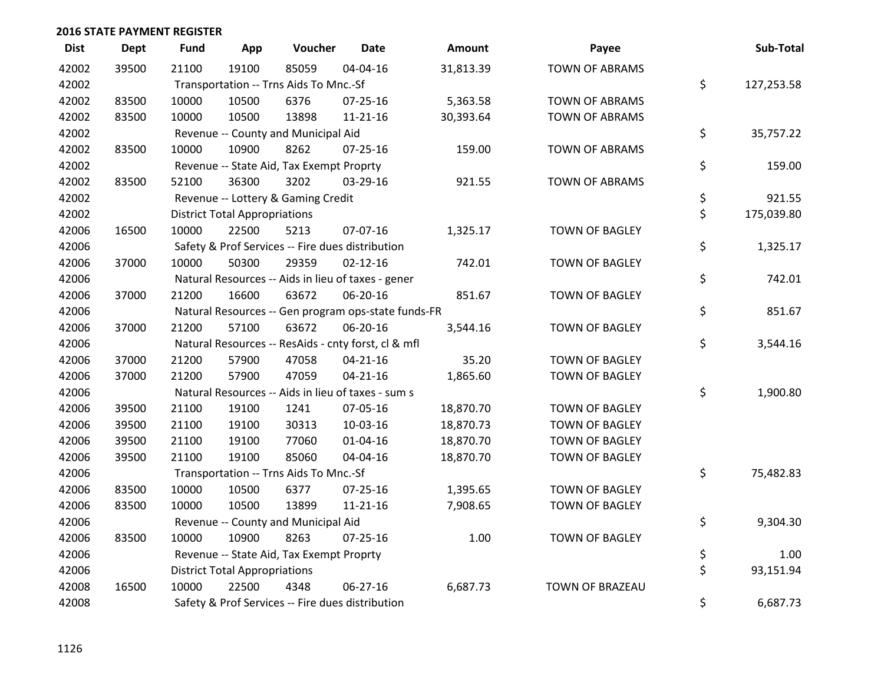| <b>Dist</b> | Dept  | <b>Fund</b> | App                                  | Voucher                                             | <b>Date</b>    | Amount    | Payee                 | Sub-Total        |
|-------------|-------|-------------|--------------------------------------|-----------------------------------------------------|----------------|-----------|-----------------------|------------------|
| 42002       | 39500 | 21100       | 19100                                | 85059                                               | 04-04-16       | 31,813.39 | <b>TOWN OF ABRAMS</b> |                  |
| 42002       |       |             |                                      | Transportation -- Trns Aids To Mnc.-Sf              |                |           |                       | \$<br>127,253.58 |
| 42002       | 83500 | 10000       | 10500                                | 6376                                                | 07-25-16       | 5,363.58  | <b>TOWN OF ABRAMS</b> |                  |
| 42002       | 83500 | 10000       | 10500                                | 13898                                               | $11 - 21 - 16$ | 30,393.64 | <b>TOWN OF ABRAMS</b> |                  |
| 42002       |       |             |                                      | Revenue -- County and Municipal Aid                 |                |           |                       | \$<br>35,757.22  |
| 42002       | 83500 | 10000       | 10900                                | 8262                                                | 07-25-16       | 159.00    | <b>TOWN OF ABRAMS</b> |                  |
| 42002       |       |             |                                      | Revenue -- State Aid, Tax Exempt Proprty            |                |           |                       | \$<br>159.00     |
| 42002       | 83500 | 52100       | 36300                                | 3202                                                | 03-29-16       | 921.55    | <b>TOWN OF ABRAMS</b> |                  |
| 42002       |       |             |                                      | Revenue -- Lottery & Gaming Credit                  |                |           |                       | \$<br>921.55     |
| 42002       |       |             | <b>District Total Appropriations</b> |                                                     |                |           |                       | \$<br>175,039.80 |
| 42006       | 16500 | 10000       | 22500                                | 5213                                                | 07-07-16       | 1,325.17  | <b>TOWN OF BAGLEY</b> |                  |
| 42006       |       |             |                                      | Safety & Prof Services -- Fire dues distribution    |                |           |                       | \$<br>1,325.17   |
| 42006       | 37000 | 10000       | 50300                                | 29359                                               | $02 - 12 - 16$ | 742.01    | <b>TOWN OF BAGLEY</b> |                  |
| 42006       |       |             |                                      | Natural Resources -- Aids in lieu of taxes - gener  |                |           |                       | \$<br>742.01     |
| 42006       | 37000 | 21200       | 16600                                | 63672                                               | 06-20-16       | 851.67    | <b>TOWN OF BAGLEY</b> |                  |
| 42006       |       |             |                                      | Natural Resources -- Gen program ops-state funds-FR |                |           |                       | \$<br>851.67     |
| 42006       | 37000 | 21200       | 57100                                | 63672                                               | 06-20-16       | 3,544.16  | <b>TOWN OF BAGLEY</b> |                  |
| 42006       |       |             |                                      | Natural Resources -- ResAids - cnty forst, cl & mfl |                |           |                       | \$<br>3,544.16   |
| 42006       | 37000 | 21200       | 57900                                | 47058                                               | $04 - 21 - 16$ | 35.20     | TOWN OF BAGLEY        |                  |
| 42006       | 37000 | 21200       | 57900                                | 47059                                               | $04 - 21 - 16$ | 1,865.60  | <b>TOWN OF BAGLEY</b> |                  |
| 42006       |       |             |                                      | Natural Resources -- Aids in lieu of taxes - sum s  |                |           |                       | \$<br>1,900.80   |
| 42006       | 39500 | 21100       | 19100                                | 1241                                                | 07-05-16       | 18,870.70 | TOWN OF BAGLEY        |                  |
| 42006       | 39500 | 21100       | 19100                                | 30313                                               | 10-03-16       | 18,870.73 | TOWN OF BAGLEY        |                  |
| 42006       | 39500 | 21100       | 19100                                | 77060                                               | $01 - 04 - 16$ | 18,870.70 | <b>TOWN OF BAGLEY</b> |                  |
| 42006       | 39500 | 21100       | 19100                                | 85060                                               | 04-04-16       | 18,870.70 | <b>TOWN OF BAGLEY</b> |                  |
| 42006       |       |             |                                      | Transportation -- Trns Aids To Mnc.-Sf              |                |           |                       | \$<br>75,482.83  |
| 42006       | 83500 | 10000       | 10500                                | 6377                                                | $07 - 25 - 16$ | 1,395.65  | TOWN OF BAGLEY        |                  |
| 42006       | 83500 | 10000       | 10500                                | 13899                                               | $11 - 21 - 16$ | 7,908.65  | <b>TOWN OF BAGLEY</b> |                  |
| 42006       |       |             |                                      | Revenue -- County and Municipal Aid                 |                |           |                       | \$<br>9,304.30   |
| 42006       | 83500 | 10000       | 10900                                | 8263                                                | $07 - 25 - 16$ | 1.00      | <b>TOWN OF BAGLEY</b> |                  |
| 42006       |       |             |                                      | Revenue -- State Aid, Tax Exempt Proprty            |                |           |                       | \$<br>1.00       |
| 42006       |       |             | <b>District Total Appropriations</b> |                                                     |                |           |                       | \$<br>93,151.94  |
| 42008       | 16500 | 10000       | 22500                                | 4348                                                | 06-27-16       | 6,687.73  | TOWN OF BRAZEAU       |                  |
| 42008       |       |             |                                      | Safety & Prof Services -- Fire dues distribution    |                |           |                       | \$<br>6,687.73   |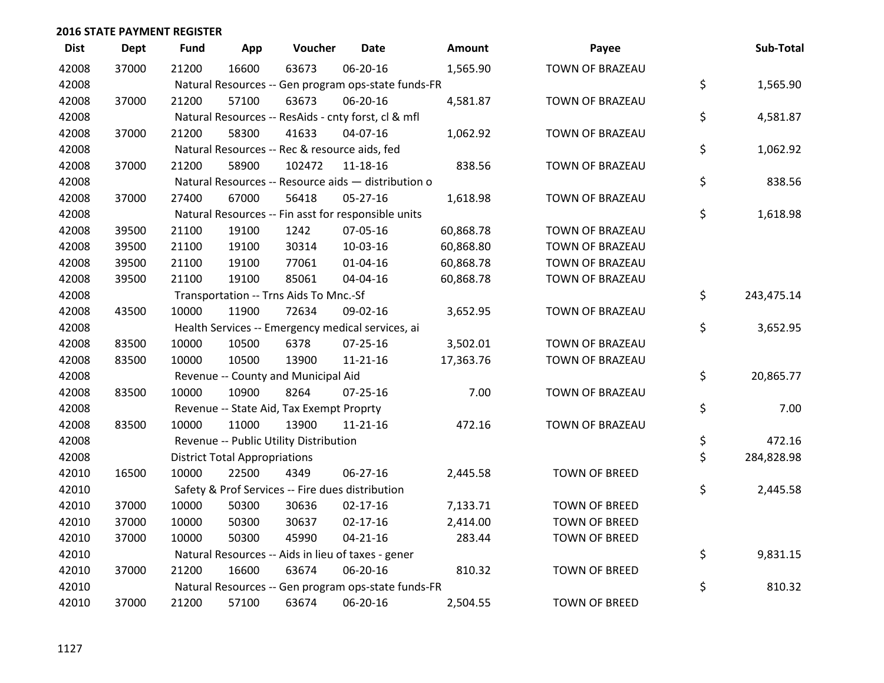| <b>Dist</b> | <b>Dept</b> | <b>Fund</b> | App                                  | Voucher                                             | Date           | Amount    | Payee                | Sub-Total        |
|-------------|-------------|-------------|--------------------------------------|-----------------------------------------------------|----------------|-----------|----------------------|------------------|
| 42008       | 37000       | 21200       | 16600                                | 63673                                               | 06-20-16       | 1,565.90  | TOWN OF BRAZEAU      |                  |
| 42008       |             |             |                                      | Natural Resources -- Gen program ops-state funds-FR |                |           |                      | \$<br>1,565.90   |
| 42008       | 37000       | 21200       | 57100                                | 63673                                               | 06-20-16       | 4,581.87  | TOWN OF BRAZEAU      |                  |
| 42008       |             |             |                                      | Natural Resources -- ResAids - cnty forst, cl & mfl |                |           |                      | \$<br>4,581.87   |
| 42008       | 37000       | 21200       | 58300                                | 41633                                               | 04-07-16       | 1,062.92  | TOWN OF BRAZEAU      |                  |
| 42008       |             |             |                                      | Natural Resources -- Rec & resource aids, fed       |                |           |                      | \$<br>1,062.92   |
| 42008       | 37000       | 21200       | 58900                                | 102472                                              | 11-18-16       | 838.56    | TOWN OF BRAZEAU      |                  |
| 42008       |             |             |                                      | Natural Resources -- Resource aids - distribution o |                |           |                      | \$<br>838.56     |
| 42008       | 37000       | 27400       | 67000                                | 56418                                               | 05-27-16       | 1,618.98  | TOWN OF BRAZEAU      |                  |
| 42008       |             |             |                                      | Natural Resources -- Fin asst for responsible units |                |           |                      | \$<br>1,618.98   |
| 42008       | 39500       | 21100       | 19100                                | 1242                                                | 07-05-16       | 60,868.78 | TOWN OF BRAZEAU      |                  |
| 42008       | 39500       | 21100       | 19100                                | 30314                                               | 10-03-16       | 60,868.80 | TOWN OF BRAZEAU      |                  |
| 42008       | 39500       | 21100       | 19100                                | 77061                                               | $01 - 04 - 16$ | 60,868.78 | TOWN OF BRAZEAU      |                  |
| 42008       | 39500       | 21100       | 19100                                | 85061                                               | 04-04-16       | 60,868.78 | TOWN OF BRAZEAU      |                  |
| 42008       |             |             |                                      | Transportation -- Trns Aids To Mnc.-Sf              |                |           |                      | \$<br>243,475.14 |
| 42008       | 43500       | 10000       | 11900                                | 72634                                               | 09-02-16       | 3,652.95  | TOWN OF BRAZEAU      |                  |
| 42008       |             |             |                                      | Health Services -- Emergency medical services, ai   |                |           |                      | \$<br>3,652.95   |
| 42008       | 83500       | 10000       | 10500                                | 6378                                                | 07-25-16       | 3,502.01  | TOWN OF BRAZEAU      |                  |
| 42008       | 83500       | 10000       | 10500                                | 13900                                               | $11 - 21 - 16$ | 17,363.76 | TOWN OF BRAZEAU      |                  |
| 42008       |             |             |                                      | Revenue -- County and Municipal Aid                 |                |           |                      | \$<br>20,865.77  |
| 42008       | 83500       | 10000       | 10900                                | 8264                                                | $07 - 25 - 16$ | 7.00      | TOWN OF BRAZEAU      |                  |
| 42008       |             |             |                                      | Revenue -- State Aid, Tax Exempt Proprty            |                |           |                      | \$<br>7.00       |
| 42008       | 83500       | 10000       | 11000                                | 13900                                               | $11 - 21 - 16$ | 472.16    | TOWN OF BRAZEAU      |                  |
| 42008       |             |             |                                      | Revenue -- Public Utility Distribution              |                |           |                      | \$<br>472.16     |
| 42008       |             |             | <b>District Total Appropriations</b> |                                                     |                |           |                      | \$<br>284,828.98 |
| 42010       | 16500       | 10000       | 22500                                | 4349                                                | 06-27-16       | 2,445.58  | <b>TOWN OF BREED</b> |                  |
| 42010       |             |             |                                      | Safety & Prof Services -- Fire dues distribution    |                |           |                      | \$<br>2,445.58   |
| 42010       | 37000       | 10000       | 50300                                | 30636                                               | $02 - 17 - 16$ | 7,133.71  | <b>TOWN OF BREED</b> |                  |
| 42010       | 37000       | 10000       | 50300                                | 30637                                               | $02 - 17 - 16$ | 2,414.00  | <b>TOWN OF BREED</b> |                  |
| 42010       | 37000       | 10000       | 50300                                | 45990                                               | $04 - 21 - 16$ | 283.44    | <b>TOWN OF BREED</b> |                  |
| 42010       |             |             |                                      | Natural Resources -- Aids in lieu of taxes - gener  |                |           |                      | \$<br>9,831.15   |
| 42010       | 37000       | 21200       | 16600                                | 63674                                               | 06-20-16       | 810.32    | <b>TOWN OF BREED</b> |                  |
| 42010       |             |             |                                      | Natural Resources -- Gen program ops-state funds-FR |                |           |                      | \$<br>810.32     |
| 42010       | 37000       | 21200       | 57100                                | 63674                                               | 06-20-16       | 2,504.55  | <b>TOWN OF BREED</b> |                  |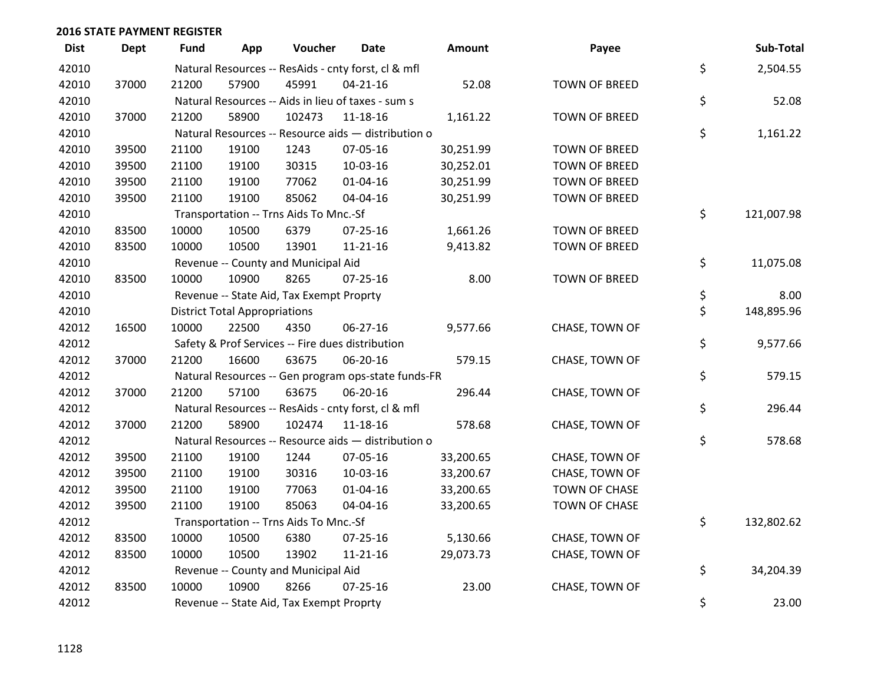| <b>Dist</b> | <b>Dept</b> | <b>Fund</b> | App                                  | Voucher                                          | <b>Date</b>                                         | Amount    | Payee                | Sub-Total        |
|-------------|-------------|-------------|--------------------------------------|--------------------------------------------------|-----------------------------------------------------|-----------|----------------------|------------------|
| 42010       |             |             |                                      |                                                  | Natural Resources -- ResAids - cnty forst, cl & mfl |           |                      | \$<br>2,504.55   |
| 42010       | 37000       | 21200       | 57900                                | 45991                                            | $04 - 21 - 16$                                      | 52.08     | <b>TOWN OF BREED</b> |                  |
| 42010       |             |             |                                      |                                                  | Natural Resources -- Aids in lieu of taxes - sum s  |           |                      | \$<br>52.08      |
| 42010       | 37000       | 21200       | 58900                                | 102473                                           | $11 - 18 - 16$                                      | 1,161.22  | <b>TOWN OF BREED</b> |                  |
| 42010       |             |             |                                      |                                                  | Natural Resources -- Resource aids - distribution o |           |                      | \$<br>1,161.22   |
| 42010       | 39500       | 21100       | 19100                                | 1243                                             | 07-05-16                                            | 30,251.99 | TOWN OF BREED        |                  |
| 42010       | 39500       | 21100       | 19100                                | 30315                                            | 10-03-16                                            | 30,252.01 | TOWN OF BREED        |                  |
| 42010       | 39500       | 21100       | 19100                                | 77062                                            | $01 - 04 - 16$                                      | 30,251.99 | TOWN OF BREED        |                  |
| 42010       | 39500       | 21100       | 19100                                | 85062                                            | 04-04-16                                            | 30,251.99 | TOWN OF BREED        |                  |
| 42010       |             |             |                                      | Transportation -- Trns Aids To Mnc.-Sf           |                                                     |           |                      | \$<br>121,007.98 |
| 42010       | 83500       | 10000       | 10500                                | 6379                                             | $07 - 25 - 16$                                      | 1,661.26  | <b>TOWN OF BREED</b> |                  |
| 42010       | 83500       | 10000       | 10500                                | 13901                                            | $11 - 21 - 16$                                      | 9,413.82  | <b>TOWN OF BREED</b> |                  |
| 42010       |             |             |                                      | Revenue -- County and Municipal Aid              |                                                     |           |                      | \$<br>11,075.08  |
| 42010       | 83500       | 10000       | 10900                                | 8265                                             | $07 - 25 - 16$                                      | 8.00      | <b>TOWN OF BREED</b> |                  |
| 42010       |             |             |                                      | Revenue -- State Aid, Tax Exempt Proprty         |                                                     |           |                      | \$<br>8.00       |
| 42010       |             |             | <b>District Total Appropriations</b> |                                                  |                                                     |           |                      | \$<br>148,895.96 |
| 42012       | 16500       | 10000       | 22500                                | 4350                                             | 06-27-16                                            | 9,577.66  | CHASE, TOWN OF       |                  |
| 42012       |             |             |                                      | Safety & Prof Services -- Fire dues distribution |                                                     |           |                      | \$<br>9,577.66   |
| 42012       | 37000       | 21200       | 16600                                | 63675                                            | 06-20-16                                            | 579.15    | CHASE, TOWN OF       |                  |
| 42012       |             |             |                                      |                                                  | Natural Resources -- Gen program ops-state funds-FR |           |                      | \$<br>579.15     |
| 42012       | 37000       | 21200       | 57100                                | 63675                                            | 06-20-16                                            | 296.44    | CHASE, TOWN OF       |                  |
| 42012       |             |             |                                      |                                                  | Natural Resources -- ResAids - cnty forst, cl & mfl |           |                      | \$<br>296.44     |
| 42012       | 37000       | 21200       | 58900                                | 102474                                           | $11 - 18 - 16$                                      | 578.68    | CHASE, TOWN OF       |                  |
| 42012       |             |             |                                      |                                                  | Natural Resources -- Resource aids - distribution o |           |                      | \$<br>578.68     |
| 42012       | 39500       | 21100       | 19100                                | 1244                                             | 07-05-16                                            | 33,200.65 | CHASE, TOWN OF       |                  |
| 42012       | 39500       | 21100       | 19100                                | 30316                                            | 10-03-16                                            | 33,200.67 | CHASE, TOWN OF       |                  |
| 42012       | 39500       | 21100       | 19100                                | 77063                                            | 01-04-16                                            | 33,200.65 | TOWN OF CHASE        |                  |
| 42012       | 39500       | 21100       | 19100                                | 85063                                            | 04-04-16                                            | 33,200.65 | <b>TOWN OF CHASE</b> |                  |
| 42012       |             |             |                                      | Transportation -- Trns Aids To Mnc.-Sf           |                                                     |           |                      | \$<br>132,802.62 |
| 42012       | 83500       | 10000       | 10500                                | 6380                                             | 07-25-16                                            | 5,130.66  | CHASE, TOWN OF       |                  |
| 42012       | 83500       | 10000       | 10500                                | 13902                                            | $11 - 21 - 16$                                      | 29,073.73 | CHASE, TOWN OF       |                  |
| 42012       |             |             |                                      | Revenue -- County and Municipal Aid              |                                                     |           |                      | \$<br>34,204.39  |
| 42012       | 83500       | 10000       | 10900                                | 8266                                             | $07 - 25 - 16$                                      | 23.00     | CHASE, TOWN OF       |                  |
| 42012       |             |             |                                      | Revenue -- State Aid, Tax Exempt Proprty         |                                                     |           |                      | \$<br>23.00      |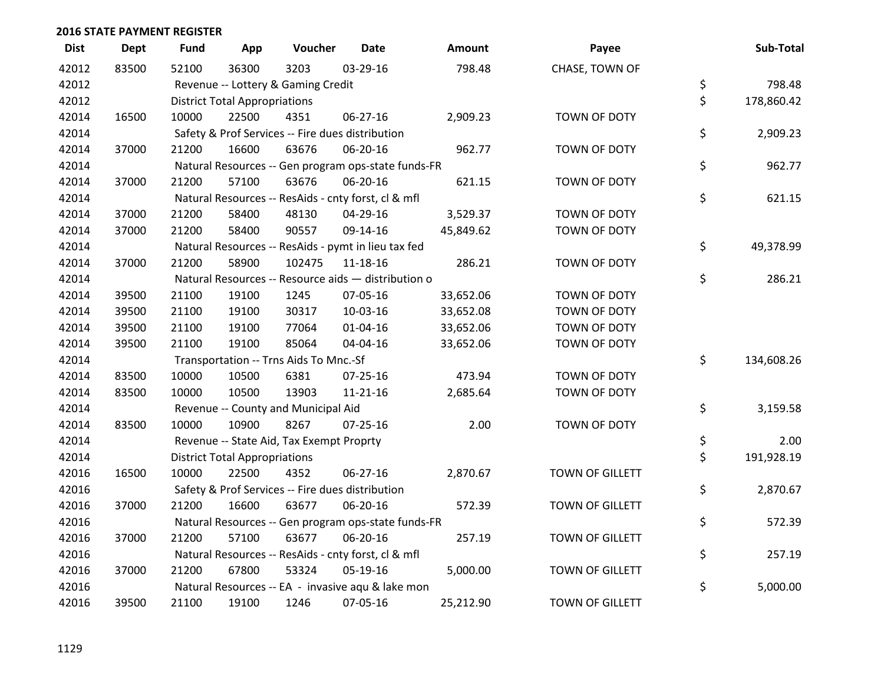| <b>Dist</b> | <b>Dept</b> | <b>Fund</b> | App                                  | Voucher                                             | <b>Date</b>    | Amount    | Payee                  | Sub-Total        |
|-------------|-------------|-------------|--------------------------------------|-----------------------------------------------------|----------------|-----------|------------------------|------------------|
| 42012       | 83500       | 52100       | 36300                                | 3203                                                | 03-29-16       | 798.48    | CHASE, TOWN OF         |                  |
| 42012       |             |             |                                      | Revenue -- Lottery & Gaming Credit                  |                |           |                        | \$<br>798.48     |
| 42012       |             |             | <b>District Total Appropriations</b> |                                                     |                |           |                        | \$<br>178,860.42 |
| 42014       | 16500       | 10000       | 22500                                | 4351                                                | 06-27-16       | 2,909.23  | TOWN OF DOTY           |                  |
| 42014       |             |             |                                      | Safety & Prof Services -- Fire dues distribution    |                |           |                        | \$<br>2,909.23   |
| 42014       | 37000       | 21200       | 16600                                | 63676                                               | 06-20-16       | 962.77    | TOWN OF DOTY           |                  |
| 42014       |             |             |                                      | Natural Resources -- Gen program ops-state funds-FR |                |           |                        | \$<br>962.77     |
| 42014       | 37000       | 21200       | 57100                                | 63676                                               | 06-20-16       | 621.15    | TOWN OF DOTY           |                  |
| 42014       |             |             |                                      | Natural Resources -- ResAids - cnty forst, cl & mfl |                |           |                        | \$<br>621.15     |
| 42014       | 37000       | 21200       | 58400                                | 48130                                               | 04-29-16       | 3,529.37  | <b>TOWN OF DOTY</b>    |                  |
| 42014       | 37000       | 21200       | 58400                                | 90557                                               | 09-14-16       | 45,849.62 | TOWN OF DOTY           |                  |
| 42014       |             |             |                                      | Natural Resources -- ResAids - pymt in lieu tax fed |                |           |                        | \$<br>49,378.99  |
| 42014       | 37000       | 21200       | 58900                                | 102475                                              | 11-18-16       | 286.21    | TOWN OF DOTY           |                  |
| 42014       |             |             |                                      | Natural Resources -- Resource aids - distribution o |                |           |                        | \$<br>286.21     |
| 42014       | 39500       | 21100       | 19100                                | 1245                                                | 07-05-16       | 33,652.06 | TOWN OF DOTY           |                  |
| 42014       | 39500       | 21100       | 19100                                | 30317                                               | 10-03-16       | 33,652.08 | TOWN OF DOTY           |                  |
| 42014       | 39500       | 21100       | 19100                                | 77064                                               | 01-04-16       | 33,652.06 | TOWN OF DOTY           |                  |
| 42014       | 39500       | 21100       | 19100                                | 85064                                               | 04-04-16       | 33,652.06 | TOWN OF DOTY           |                  |
| 42014       |             |             |                                      | Transportation -- Trns Aids To Mnc.-Sf              |                |           |                        | \$<br>134,608.26 |
| 42014       | 83500       | 10000       | 10500                                | 6381                                                | 07-25-16       | 473.94    | TOWN OF DOTY           |                  |
| 42014       | 83500       | 10000       | 10500                                | 13903                                               | $11 - 21 - 16$ | 2,685.64  | TOWN OF DOTY           |                  |
| 42014       |             |             |                                      | Revenue -- County and Municipal Aid                 |                |           |                        | \$<br>3,159.58   |
| 42014       | 83500       | 10000       | 10900                                | 8267                                                | $07 - 25 - 16$ | 2.00      | TOWN OF DOTY           |                  |
| 42014       |             |             |                                      | Revenue -- State Aid, Tax Exempt Proprty            |                |           |                        | \$<br>2.00       |
| 42014       |             |             | <b>District Total Appropriations</b> |                                                     |                |           |                        | \$<br>191,928.19 |
| 42016       | 16500       | 10000       | 22500                                | 4352                                                | 06-27-16       | 2,870.67  | TOWN OF GILLETT        |                  |
| 42016       |             |             |                                      | Safety & Prof Services -- Fire dues distribution    |                |           |                        | \$<br>2,870.67   |
| 42016       | 37000       | 21200       | 16600                                | 63677                                               | 06-20-16       | 572.39    | TOWN OF GILLETT        |                  |
| 42016       |             |             |                                      | Natural Resources -- Gen program ops-state funds-FR |                |           |                        | \$<br>572.39     |
| 42016       | 37000       | 21200       | 57100                                | 63677                                               | 06-20-16       | 257.19    | TOWN OF GILLETT        |                  |
| 42016       |             |             |                                      | Natural Resources -- ResAids - cnty forst, cl & mfl |                |           |                        | \$<br>257.19     |
| 42016       | 37000       | 21200       | 67800                                | 53324                                               | 05-19-16       | 5,000.00  | <b>TOWN OF GILLETT</b> |                  |
| 42016       |             |             |                                      | Natural Resources -- EA - invasive agu & lake mon   |                |           |                        | \$<br>5,000.00   |
| 42016       | 39500       | 21100       | 19100                                | 1246                                                | 07-05-16       | 25,212.90 | TOWN OF GILLETT        |                  |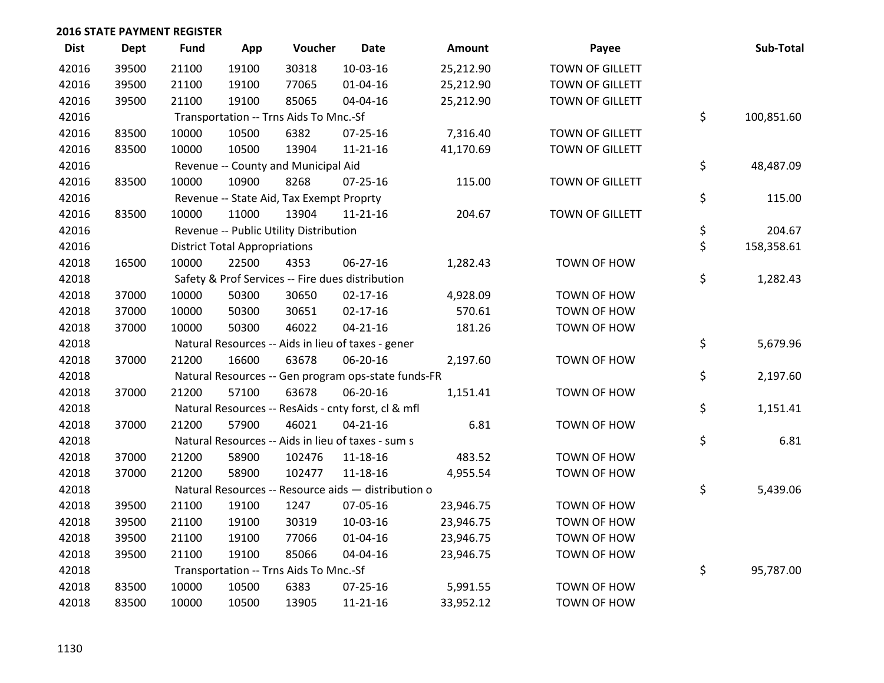| <b>Dist</b> | Dept  | Fund  | App                                  | Voucher                                  | <b>Date</b>                                         | Amount    | Payee                  | Sub-Total        |
|-------------|-------|-------|--------------------------------------|------------------------------------------|-----------------------------------------------------|-----------|------------------------|------------------|
| 42016       | 39500 | 21100 | 19100                                | 30318                                    | 10-03-16                                            | 25,212.90 | <b>TOWN OF GILLETT</b> |                  |
| 42016       | 39500 | 21100 | 19100                                | 77065                                    | $01 - 04 - 16$                                      | 25,212.90 | <b>TOWN OF GILLETT</b> |                  |
| 42016       | 39500 | 21100 | 19100                                | 85065                                    | 04-04-16                                            | 25,212.90 | <b>TOWN OF GILLETT</b> |                  |
| 42016       |       |       |                                      | Transportation -- Trns Aids To Mnc.-Sf   |                                                     |           |                        | \$<br>100,851.60 |
| 42016       | 83500 | 10000 | 10500                                | 6382                                     | $07 - 25 - 16$                                      | 7,316.40  | <b>TOWN OF GILLETT</b> |                  |
| 42016       | 83500 | 10000 | 10500                                | 13904                                    | $11 - 21 - 16$                                      | 41,170.69 | TOWN OF GILLETT        |                  |
| 42016       |       |       |                                      | Revenue -- County and Municipal Aid      |                                                     |           |                        | \$<br>48,487.09  |
| 42016       | 83500 | 10000 | 10900                                | 8268                                     | 07-25-16                                            | 115.00    | TOWN OF GILLETT        |                  |
| 42016       |       |       |                                      | Revenue -- State Aid, Tax Exempt Proprty |                                                     |           |                        | \$<br>115.00     |
| 42016       | 83500 | 10000 | 11000                                | 13904                                    | $11 - 21 - 16$                                      | 204.67    | TOWN OF GILLETT        |                  |
| 42016       |       |       |                                      | Revenue -- Public Utility Distribution   |                                                     |           |                        | \$<br>204.67     |
| 42016       |       |       | <b>District Total Appropriations</b> |                                          |                                                     |           |                        | \$<br>158,358.61 |
| 42018       | 16500 | 10000 | 22500                                | 4353                                     | 06-27-16                                            | 1,282.43  | TOWN OF HOW            |                  |
| 42018       |       |       |                                      |                                          | Safety & Prof Services -- Fire dues distribution    |           |                        | \$<br>1,282.43   |
| 42018       | 37000 | 10000 | 50300                                | 30650                                    | $02 - 17 - 16$                                      | 4,928.09  | TOWN OF HOW            |                  |
| 42018       | 37000 | 10000 | 50300                                | 30651                                    | 02-17-16                                            | 570.61    | TOWN OF HOW            |                  |
| 42018       | 37000 | 10000 | 50300                                | 46022                                    | $04 - 21 - 16$                                      | 181.26    | TOWN OF HOW            |                  |
| 42018       |       |       |                                      |                                          | Natural Resources -- Aids in lieu of taxes - gener  |           |                        | \$<br>5,679.96   |
| 42018       | 37000 | 21200 | 16600                                | 63678                                    | 06-20-16                                            | 2,197.60  | TOWN OF HOW            |                  |
| 42018       |       |       |                                      |                                          | Natural Resources -- Gen program ops-state funds-FR |           |                        | \$<br>2,197.60   |
| 42018       | 37000 | 21200 | 57100                                | 63678                                    | 06-20-16                                            | 1,151.41  | TOWN OF HOW            |                  |
| 42018       |       |       |                                      |                                          | Natural Resources -- ResAids - cnty forst, cl & mfl |           |                        | \$<br>1,151.41   |
| 42018       | 37000 | 21200 | 57900                                | 46021                                    | $04 - 21 - 16$                                      | 6.81      | TOWN OF HOW            |                  |
| 42018       |       |       |                                      |                                          | Natural Resources -- Aids in lieu of taxes - sum s  |           |                        | \$<br>6.81       |
| 42018       | 37000 | 21200 | 58900                                | 102476                                   | 11-18-16                                            | 483.52    | TOWN OF HOW            |                  |
| 42018       | 37000 | 21200 | 58900                                | 102477                                   | 11-18-16                                            | 4,955.54  | TOWN OF HOW            |                  |
| 42018       |       |       |                                      |                                          | Natural Resources -- Resource aids - distribution o |           |                        | \$<br>5,439.06   |
| 42018       | 39500 | 21100 | 19100                                | 1247                                     | 07-05-16                                            | 23,946.75 | TOWN OF HOW            |                  |
| 42018       | 39500 | 21100 | 19100                                | 30319                                    | 10-03-16                                            | 23,946.75 | TOWN OF HOW            |                  |
| 42018       | 39500 | 21100 | 19100                                | 77066                                    | $01 - 04 - 16$                                      | 23,946.75 | TOWN OF HOW            |                  |
| 42018       | 39500 | 21100 | 19100                                | 85066                                    | 04-04-16                                            | 23,946.75 | TOWN OF HOW            |                  |
| 42018       |       |       |                                      | Transportation -- Trns Aids To Mnc.-Sf   |                                                     |           |                        | \$<br>95,787.00  |
| 42018       | 83500 | 10000 | 10500                                | 6383                                     | $07 - 25 - 16$                                      | 5,991.55  | TOWN OF HOW            |                  |
| 42018       | 83500 | 10000 | 10500                                | 13905                                    | $11 - 21 - 16$                                      | 33,952.12 | TOWN OF HOW            |                  |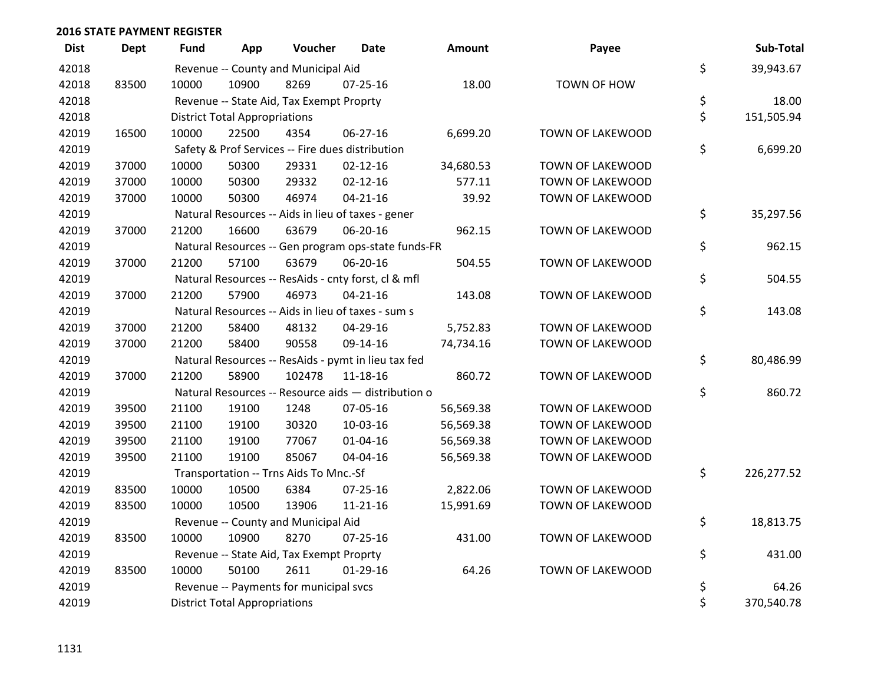| <b>Dist</b> | <b>Dept</b> | <b>Fund</b> | App                                  | Voucher                                  | Date                                                | <b>Amount</b> | Payee                   | Sub-Total        |
|-------------|-------------|-------------|--------------------------------------|------------------------------------------|-----------------------------------------------------|---------------|-------------------------|------------------|
| 42018       |             |             |                                      | Revenue -- County and Municipal Aid      |                                                     |               |                         | \$<br>39,943.67  |
| 42018       | 83500       | 10000       | 10900                                | 8269                                     | $07 - 25 - 16$                                      | 18.00         | TOWN OF HOW             |                  |
| 42018       |             |             |                                      | Revenue -- State Aid, Tax Exempt Proprty |                                                     |               |                         | \$<br>18.00      |
| 42018       |             |             | <b>District Total Appropriations</b> |                                          |                                                     |               |                         | \$<br>151,505.94 |
| 42019       | 16500       | 10000       | 22500                                | 4354                                     | 06-27-16                                            | 6,699.20      | TOWN OF LAKEWOOD        |                  |
| 42019       |             |             |                                      |                                          | Safety & Prof Services -- Fire dues distribution    |               |                         | \$<br>6,699.20   |
| 42019       | 37000       | 10000       | 50300                                | 29331                                    | $02 - 12 - 16$                                      | 34,680.53     | TOWN OF LAKEWOOD        |                  |
| 42019       | 37000       | 10000       | 50300                                | 29332                                    | $02 - 12 - 16$                                      | 577.11        | TOWN OF LAKEWOOD        |                  |
| 42019       | 37000       | 10000       | 50300                                | 46974                                    | $04 - 21 - 16$                                      | 39.92         | TOWN OF LAKEWOOD        |                  |
| 42019       |             |             |                                      |                                          | Natural Resources -- Aids in lieu of taxes - gener  |               |                         | \$<br>35,297.56  |
| 42019       | 37000       | 21200       | 16600                                | 63679                                    | 06-20-16                                            | 962.15        | TOWN OF LAKEWOOD        |                  |
| 42019       |             |             |                                      |                                          | Natural Resources -- Gen program ops-state funds-FR |               |                         | \$<br>962.15     |
| 42019       | 37000       | 21200       | 57100                                | 63679                                    | 06-20-16                                            | 504.55        | TOWN OF LAKEWOOD        |                  |
| 42019       |             |             |                                      |                                          | Natural Resources -- ResAids - cnty forst, cl & mfl |               |                         | \$<br>504.55     |
| 42019       | 37000       | 21200       | 57900                                | 46973                                    | $04 - 21 - 16$                                      | 143.08        | TOWN OF LAKEWOOD        |                  |
| 42019       |             |             |                                      |                                          | Natural Resources -- Aids in lieu of taxes - sum s  |               |                         | \$<br>143.08     |
| 42019       | 37000       | 21200       | 58400                                | 48132                                    | 04-29-16                                            | 5,752.83      | TOWN OF LAKEWOOD        |                  |
| 42019       | 37000       | 21200       | 58400                                | 90558                                    | 09-14-16                                            | 74,734.16     | TOWN OF LAKEWOOD        |                  |
| 42019       |             |             |                                      |                                          | Natural Resources -- ResAids - pymt in lieu tax fed |               |                         | \$<br>80,486.99  |
| 42019       | 37000       | 21200       | 58900                                | 102478                                   | 11-18-16                                            | 860.72        | TOWN OF LAKEWOOD        |                  |
| 42019       |             |             |                                      |                                          | Natural Resources -- Resource aids - distribution o |               |                         | \$<br>860.72     |
| 42019       | 39500       | 21100       | 19100                                | 1248                                     | 07-05-16                                            | 56,569.38     | <b>TOWN OF LAKEWOOD</b> |                  |
| 42019       | 39500       | 21100       | 19100                                | 30320                                    | 10-03-16                                            | 56,569.38     | TOWN OF LAKEWOOD        |                  |
| 42019       | 39500       | 21100       | 19100                                | 77067                                    | $01 - 04 - 16$                                      | 56,569.38     | TOWN OF LAKEWOOD        |                  |
| 42019       | 39500       | 21100       | 19100                                | 85067                                    | 04-04-16                                            | 56,569.38     | TOWN OF LAKEWOOD        |                  |
| 42019       |             |             |                                      | Transportation -- Trns Aids To Mnc.-Sf   |                                                     |               |                         | \$<br>226,277.52 |
| 42019       | 83500       | 10000       | 10500                                | 6384                                     | $07 - 25 - 16$                                      | 2,822.06      | TOWN OF LAKEWOOD        |                  |
| 42019       | 83500       | 10000       | 10500                                | 13906                                    | $11 - 21 - 16$                                      | 15,991.69     | TOWN OF LAKEWOOD        |                  |
| 42019       |             |             |                                      | Revenue -- County and Municipal Aid      |                                                     |               |                         | \$<br>18,813.75  |
| 42019       | 83500       | 10000       | 10900                                | 8270                                     | $07 - 25 - 16$                                      | 431.00        | TOWN OF LAKEWOOD        |                  |
| 42019       |             |             |                                      | Revenue -- State Aid, Tax Exempt Proprty |                                                     |               |                         | \$<br>431.00     |
| 42019       | 83500       | 10000       | 50100                                | 2611                                     | $01-29-16$                                          | 64.26         | TOWN OF LAKEWOOD        |                  |
| 42019       |             |             |                                      | Revenue -- Payments for municipal svcs   |                                                     |               |                         | \$<br>64.26      |
| 42019       |             |             | <b>District Total Appropriations</b> |                                          |                                                     |               |                         | \$<br>370,540.78 |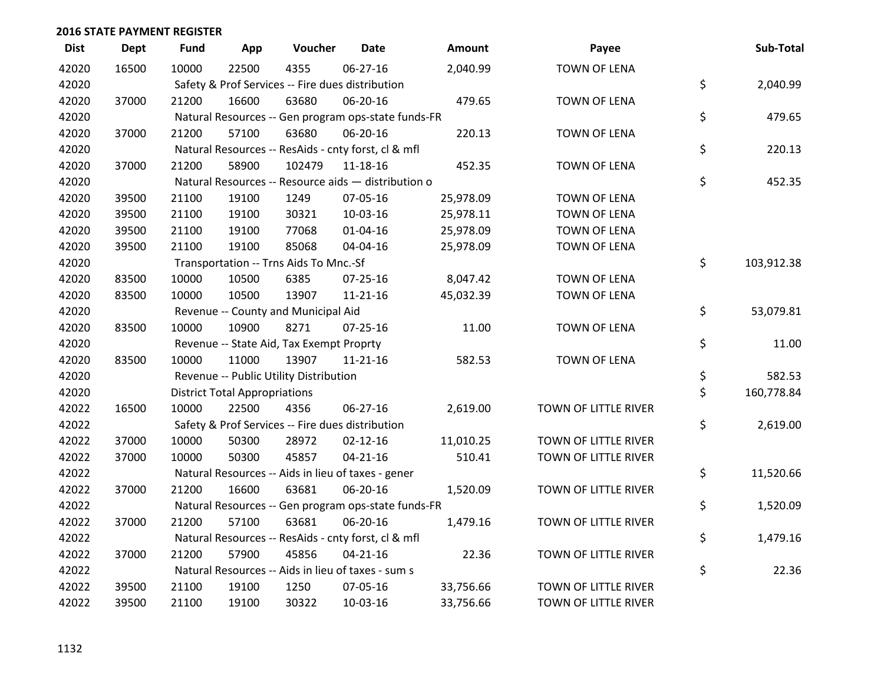| <b>Dist</b> | <b>Dept</b> | <b>Fund</b> | App                                  | Voucher                                             | <b>Date</b>    | Amount    | Payee                | Sub-Total        |
|-------------|-------------|-------------|--------------------------------------|-----------------------------------------------------|----------------|-----------|----------------------|------------------|
| 42020       | 16500       | 10000       | 22500                                | 4355                                                | 06-27-16       | 2,040.99  | <b>TOWN OF LENA</b>  |                  |
| 42020       |             |             |                                      | Safety & Prof Services -- Fire dues distribution    |                |           |                      | \$<br>2,040.99   |
| 42020       | 37000       | 21200       | 16600                                | 63680                                               | 06-20-16       | 479.65    | <b>TOWN OF LENA</b>  |                  |
| 42020       |             |             |                                      | Natural Resources -- Gen program ops-state funds-FR |                |           |                      | \$<br>479.65     |
| 42020       | 37000       | 21200       | 57100                                | 63680                                               | 06-20-16       | 220.13    | <b>TOWN OF LENA</b>  |                  |
| 42020       |             |             |                                      | Natural Resources -- ResAids - cnty forst, cl & mfl |                |           |                      | \$<br>220.13     |
| 42020       | 37000       | 21200       | 58900                                | 102479                                              | $11 - 18 - 16$ | 452.35    | <b>TOWN OF LENA</b>  |                  |
| 42020       |             |             |                                      | Natural Resources -- Resource aids - distribution o |                |           |                      | \$<br>452.35     |
| 42020       | 39500       | 21100       | 19100                                | 1249                                                | 07-05-16       | 25,978.09 | <b>TOWN OF LENA</b>  |                  |
| 42020       | 39500       | 21100       | 19100                                | 30321                                               | 10-03-16       | 25,978.11 | <b>TOWN OF LENA</b>  |                  |
| 42020       | 39500       | 21100       | 19100                                | 77068                                               | $01 - 04 - 16$ | 25,978.09 | <b>TOWN OF LENA</b>  |                  |
| 42020       | 39500       | 21100       | 19100                                | 85068                                               | 04-04-16       | 25,978.09 | <b>TOWN OF LENA</b>  |                  |
| 42020       |             |             |                                      | Transportation -- Trns Aids To Mnc.-Sf              |                |           |                      | \$<br>103,912.38 |
| 42020       | 83500       | 10000       | 10500                                | 6385                                                | 07-25-16       | 8,047.42  | <b>TOWN OF LENA</b>  |                  |
| 42020       | 83500       | 10000       | 10500                                | 13907                                               | $11 - 21 - 16$ | 45,032.39 | <b>TOWN OF LENA</b>  |                  |
| 42020       |             |             |                                      | Revenue -- County and Municipal Aid                 |                |           |                      | \$<br>53,079.81  |
| 42020       | 83500       | 10000       | 10900                                | 8271                                                | $07 - 25 - 16$ | 11.00     | <b>TOWN OF LENA</b>  |                  |
| 42020       |             |             |                                      | Revenue -- State Aid, Tax Exempt Proprty            |                |           |                      | \$<br>11.00      |
| 42020       | 83500       | 10000       | 11000                                | 13907                                               | $11 - 21 - 16$ | 582.53    | <b>TOWN OF LENA</b>  |                  |
| 42020       |             |             |                                      | Revenue -- Public Utility Distribution              |                |           |                      | \$<br>582.53     |
| 42020       |             |             | <b>District Total Appropriations</b> |                                                     |                |           |                      | \$<br>160,778.84 |
| 42022       | 16500       | 10000       | 22500                                | 4356                                                | 06-27-16       | 2,619.00  | TOWN OF LITTLE RIVER |                  |
| 42022       |             |             |                                      | Safety & Prof Services -- Fire dues distribution    |                |           |                      | \$<br>2,619.00   |
| 42022       | 37000       | 10000       | 50300                                | 28972                                               | $02 - 12 - 16$ | 11,010.25 | TOWN OF LITTLE RIVER |                  |
| 42022       | 37000       | 10000       | 50300                                | 45857                                               | $04 - 21 - 16$ | 510.41    | TOWN OF LITTLE RIVER |                  |
| 42022       |             |             |                                      | Natural Resources -- Aids in lieu of taxes - gener  |                |           |                      | \$<br>11,520.66  |
| 42022       | 37000       | 21200       | 16600                                | 63681                                               | 06-20-16       | 1,520.09  | TOWN OF LITTLE RIVER |                  |
| 42022       |             |             |                                      | Natural Resources -- Gen program ops-state funds-FR |                |           |                      | \$<br>1,520.09   |
| 42022       | 37000       | 21200       | 57100                                | 63681                                               | 06-20-16       | 1,479.16  | TOWN OF LITTLE RIVER |                  |
| 42022       |             |             |                                      | Natural Resources -- ResAids - cnty forst, cl & mfl |                |           |                      | \$<br>1,479.16   |
| 42022       | 37000       | 21200       | 57900                                | 45856                                               | $04 - 21 - 16$ | 22.36     | TOWN OF LITTLE RIVER |                  |
| 42022       |             |             |                                      | Natural Resources -- Aids in lieu of taxes - sum s  |                |           |                      | \$<br>22.36      |
| 42022       | 39500       | 21100       | 19100                                | 1250                                                | 07-05-16       | 33,756.66 | TOWN OF LITTLE RIVER |                  |
| 42022       | 39500       | 21100       | 19100                                | 30322                                               | 10-03-16       | 33,756.66 | TOWN OF LITTLE RIVER |                  |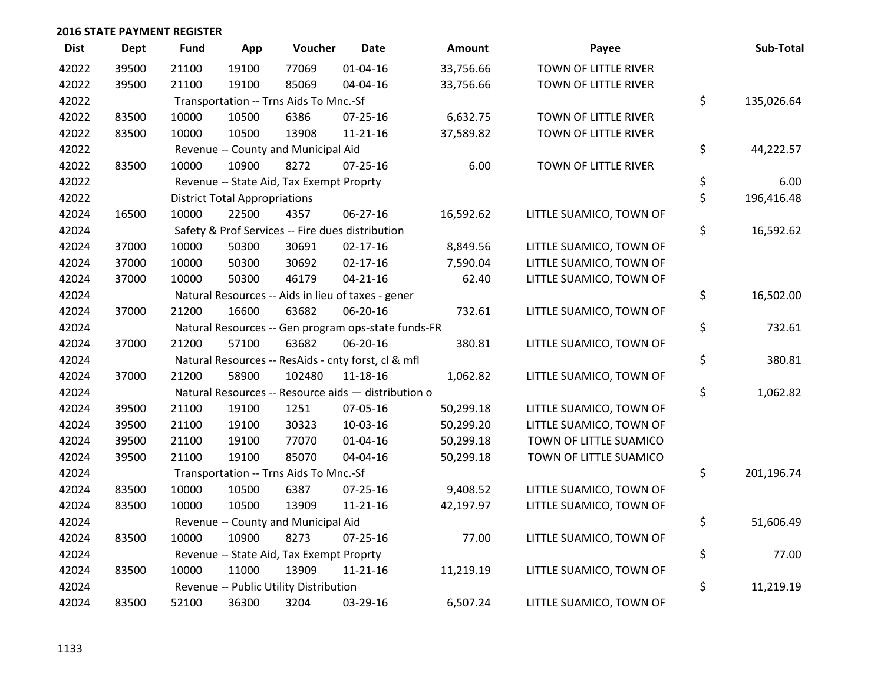| <b>Dist</b> | Dept  | <b>Fund</b> | App                                  | Voucher                                  | <b>Date</b>                                         | Amount    | Payee                   | Sub-Total        |
|-------------|-------|-------------|--------------------------------------|------------------------------------------|-----------------------------------------------------|-----------|-------------------------|------------------|
| 42022       | 39500 | 21100       | 19100                                | 77069                                    | $01 - 04 - 16$                                      | 33,756.66 | TOWN OF LITTLE RIVER    |                  |
| 42022       | 39500 | 21100       | 19100                                | 85069                                    | 04-04-16                                            | 33,756.66 | TOWN OF LITTLE RIVER    |                  |
| 42022       |       |             |                                      | Transportation -- Trns Aids To Mnc.-Sf   |                                                     |           |                         | \$<br>135,026.64 |
| 42022       | 83500 | 10000       | 10500                                | 6386                                     | 07-25-16                                            | 6,632.75  | TOWN OF LITTLE RIVER    |                  |
| 42022       | 83500 | 10000       | 10500                                | 13908                                    | $11 - 21 - 16$                                      | 37,589.82 | TOWN OF LITTLE RIVER    |                  |
| 42022       |       |             |                                      | Revenue -- County and Municipal Aid      |                                                     |           |                         | \$<br>44,222.57  |
| 42022       | 83500 | 10000       | 10900                                | 8272                                     | $07 - 25 - 16$                                      | 6.00      | TOWN OF LITTLE RIVER    |                  |
| 42022       |       |             |                                      | Revenue -- State Aid, Tax Exempt Proprty |                                                     |           |                         | \$<br>6.00       |
| 42022       |       |             | <b>District Total Appropriations</b> |                                          |                                                     |           |                         | \$<br>196,416.48 |
| 42024       | 16500 | 10000       | 22500                                | 4357                                     | 06-27-16                                            | 16,592.62 | LITTLE SUAMICO, TOWN OF |                  |
| 42024       |       |             |                                      |                                          | Safety & Prof Services -- Fire dues distribution    |           |                         | \$<br>16,592.62  |
| 42024       | 37000 | 10000       | 50300                                | 30691                                    | $02 - 17 - 16$                                      | 8,849.56  | LITTLE SUAMICO, TOWN OF |                  |
| 42024       | 37000 | 10000       | 50300                                | 30692                                    | $02 - 17 - 16$                                      | 7,590.04  | LITTLE SUAMICO, TOWN OF |                  |
| 42024       | 37000 | 10000       | 50300                                | 46179                                    | $04 - 21 - 16$                                      | 62.40     | LITTLE SUAMICO, TOWN OF |                  |
| 42024       |       |             |                                      |                                          | Natural Resources -- Aids in lieu of taxes - gener  |           |                         | \$<br>16,502.00  |
| 42024       | 37000 | 21200       | 16600                                | 63682                                    | 06-20-16                                            | 732.61    | LITTLE SUAMICO, TOWN OF |                  |
| 42024       |       |             |                                      |                                          | Natural Resources -- Gen program ops-state funds-FR |           |                         | \$<br>732.61     |
| 42024       | 37000 | 21200       | 57100                                | 63682                                    | 06-20-16                                            | 380.81    | LITTLE SUAMICO, TOWN OF |                  |
| 42024       |       |             |                                      |                                          | Natural Resources -- ResAids - cnty forst, cl & mfl |           |                         | \$<br>380.81     |
| 42024       | 37000 | 21200       | 58900                                | 102480                                   | 11-18-16                                            | 1,062.82  | LITTLE SUAMICO, TOWN OF |                  |
| 42024       |       |             |                                      |                                          | Natural Resources -- Resource aids - distribution o |           |                         | \$<br>1,062.82   |
| 42024       | 39500 | 21100       | 19100                                | 1251                                     | 07-05-16                                            | 50,299.18 | LITTLE SUAMICO, TOWN OF |                  |
| 42024       | 39500 | 21100       | 19100                                | 30323                                    | 10-03-16                                            | 50,299.20 | LITTLE SUAMICO, TOWN OF |                  |
| 42024       | 39500 | 21100       | 19100                                | 77070                                    | $01 - 04 - 16$                                      | 50,299.18 | TOWN OF LITTLE SUAMICO  |                  |
| 42024       | 39500 | 21100       | 19100                                | 85070                                    | 04-04-16                                            | 50,299.18 | TOWN OF LITTLE SUAMICO  |                  |
| 42024       |       |             |                                      | Transportation -- Trns Aids To Mnc.-Sf   |                                                     |           |                         | \$<br>201,196.74 |
| 42024       | 83500 | 10000       | 10500                                | 6387                                     | 07-25-16                                            | 9,408.52  | LITTLE SUAMICO, TOWN OF |                  |
| 42024       | 83500 | 10000       | 10500                                | 13909                                    | $11 - 21 - 16$                                      | 42,197.97 | LITTLE SUAMICO, TOWN OF |                  |
| 42024       |       |             |                                      | Revenue -- County and Municipal Aid      |                                                     |           |                         | \$<br>51,606.49  |
| 42024       | 83500 | 10000       | 10900                                | 8273                                     | $07 - 25 - 16$                                      | 77.00     | LITTLE SUAMICO, TOWN OF |                  |
| 42024       |       |             |                                      | Revenue -- State Aid, Tax Exempt Proprty |                                                     |           |                         | \$<br>77.00      |
| 42024       | 83500 | 10000       | 11000                                | 13909                                    | $11 - 21 - 16$                                      | 11,219.19 | LITTLE SUAMICO, TOWN OF |                  |
| 42024       |       |             |                                      | Revenue -- Public Utility Distribution   |                                                     |           |                         | \$<br>11,219.19  |
| 42024       | 83500 | 52100       | 36300                                | 3204                                     | 03-29-16                                            | 6,507.24  | LITTLE SUAMICO, TOWN OF |                  |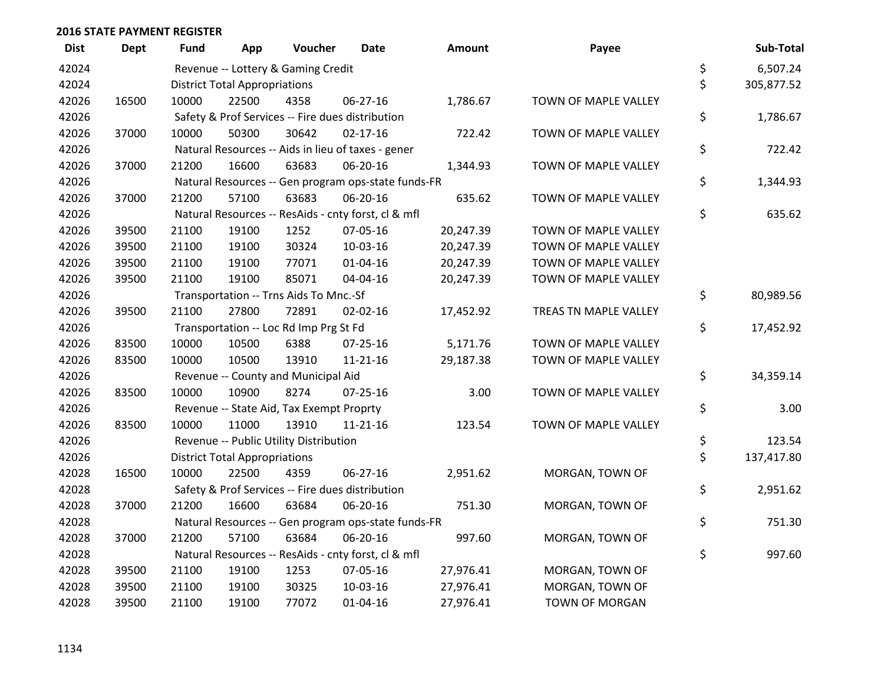| <b>Dist</b> | <b>Dept</b> | <b>Fund</b> | App                                  | Voucher                                             | <b>Date</b>    | <b>Amount</b> | Payee                 | Sub-Total        |
|-------------|-------------|-------------|--------------------------------------|-----------------------------------------------------|----------------|---------------|-----------------------|------------------|
| 42024       |             |             |                                      | Revenue -- Lottery & Gaming Credit                  |                |               |                       | \$<br>6,507.24   |
| 42024       |             |             | <b>District Total Appropriations</b> |                                                     |                |               |                       | \$<br>305,877.52 |
| 42026       | 16500       | 10000       | 22500                                | 4358                                                | 06-27-16       | 1,786.67      | TOWN OF MAPLE VALLEY  |                  |
| 42026       |             |             |                                      | Safety & Prof Services -- Fire dues distribution    |                |               |                       | \$<br>1,786.67   |
| 42026       | 37000       | 10000       | 50300                                | 30642                                               | $02 - 17 - 16$ | 722.42        | TOWN OF MAPLE VALLEY  |                  |
| 42026       |             |             |                                      | Natural Resources -- Aids in lieu of taxes - gener  |                |               |                       | \$<br>722.42     |
| 42026       | 37000       | 21200       | 16600                                | 63683                                               | 06-20-16       | 1,344.93      | TOWN OF MAPLE VALLEY  |                  |
| 42026       |             |             |                                      | Natural Resources -- Gen program ops-state funds-FR |                |               |                       | \$<br>1,344.93   |
| 42026       | 37000       | 21200       | 57100                                | 63683                                               | 06-20-16       | 635.62        | TOWN OF MAPLE VALLEY  |                  |
| 42026       |             |             |                                      | Natural Resources -- ResAids - cnty forst, cl & mfl |                |               |                       | \$<br>635.62     |
| 42026       | 39500       | 21100       | 19100                                | 1252                                                | 07-05-16       | 20,247.39     | TOWN OF MAPLE VALLEY  |                  |
| 42026       | 39500       | 21100       | 19100                                | 30324                                               | 10-03-16       | 20,247.39     | TOWN OF MAPLE VALLEY  |                  |
| 42026       | 39500       | 21100       | 19100                                | 77071                                               | 01-04-16       | 20,247.39     | TOWN OF MAPLE VALLEY  |                  |
| 42026       | 39500       | 21100       | 19100                                | 85071                                               | 04-04-16       | 20,247.39     | TOWN OF MAPLE VALLEY  |                  |
| 42026       |             |             |                                      | Transportation -- Trns Aids To Mnc.-Sf              |                |               |                       | \$<br>80,989.56  |
| 42026       | 39500       | 21100       | 27800                                | 72891                                               | $02 - 02 - 16$ | 17,452.92     | TREAS TN MAPLE VALLEY |                  |
| 42026       |             |             |                                      | Transportation -- Loc Rd Imp Prg St Fd              |                |               |                       | \$<br>17,452.92  |
| 42026       | 83500       | 10000       | 10500                                | 6388                                                | $07 - 25 - 16$ | 5,171.76      | TOWN OF MAPLE VALLEY  |                  |
| 42026       | 83500       | 10000       | 10500                                | 13910                                               | 11-21-16       | 29,187.38     | TOWN OF MAPLE VALLEY  |                  |
| 42026       |             |             |                                      | Revenue -- County and Municipal Aid                 |                |               |                       | \$<br>34,359.14  |
| 42026       | 83500       | 10000       | 10900                                | 8274                                                | $07 - 25 - 16$ | 3.00          | TOWN OF MAPLE VALLEY  |                  |
| 42026       |             |             |                                      | Revenue -- State Aid, Tax Exempt Proprty            |                |               |                       | \$<br>3.00       |
| 42026       | 83500       | 10000       | 11000                                | 13910                                               | $11 - 21 - 16$ | 123.54        | TOWN OF MAPLE VALLEY  |                  |
| 42026       |             |             |                                      | Revenue -- Public Utility Distribution              |                |               |                       | \$<br>123.54     |
| 42026       |             |             | <b>District Total Appropriations</b> |                                                     |                |               |                       | \$<br>137,417.80 |
| 42028       | 16500       | 10000       | 22500                                | 4359                                                | 06-27-16       | 2,951.62      | MORGAN, TOWN OF       |                  |
| 42028       |             |             |                                      | Safety & Prof Services -- Fire dues distribution    |                |               |                       | \$<br>2,951.62   |
| 42028       | 37000       | 21200       | 16600                                | 63684                                               | 06-20-16       | 751.30        | MORGAN, TOWN OF       |                  |
| 42028       |             |             |                                      | Natural Resources -- Gen program ops-state funds-FR |                |               |                       | \$<br>751.30     |
| 42028       | 37000       | 21200       | 57100                                | 63684                                               | 06-20-16       | 997.60        | MORGAN, TOWN OF       |                  |
| 42028       |             |             |                                      | Natural Resources -- ResAids - cnty forst, cl & mfl |                |               |                       | \$<br>997.60     |
| 42028       | 39500       | 21100       | 19100                                | 1253                                                | 07-05-16       | 27,976.41     | MORGAN, TOWN OF       |                  |
| 42028       | 39500       | 21100       | 19100                                | 30325                                               | 10-03-16       | 27,976.41     | MORGAN, TOWN OF       |                  |
| 42028       | 39500       | 21100       | 19100                                | 77072                                               | 01-04-16       | 27,976.41     | <b>TOWN OF MORGAN</b> |                  |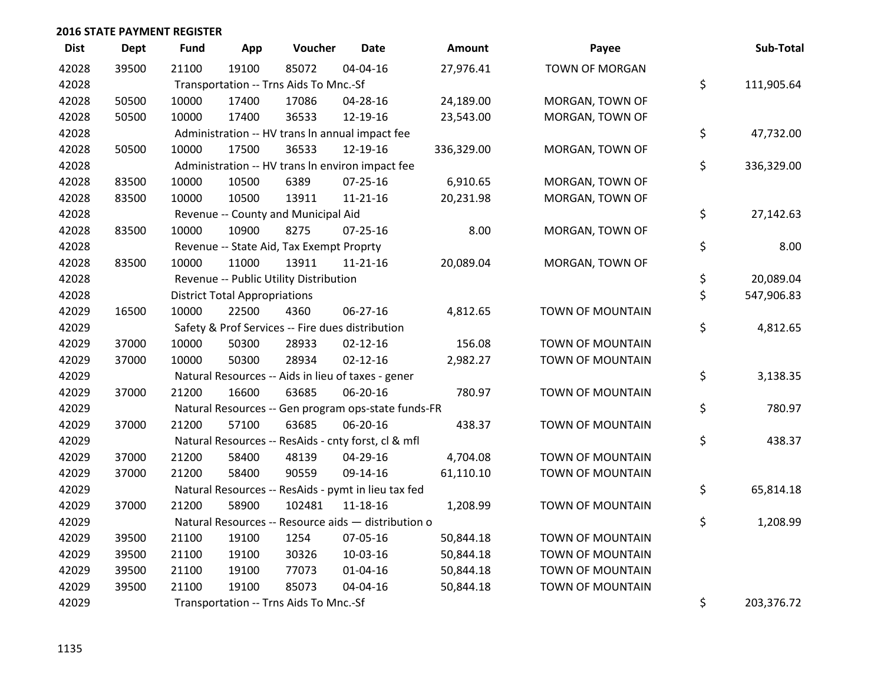| <b>Dist</b> | Dept  | <b>Fund</b> | App                                  | Voucher                                             | <b>Date</b>    | Amount     | Payee                   | Sub-Total        |
|-------------|-------|-------------|--------------------------------------|-----------------------------------------------------|----------------|------------|-------------------------|------------------|
| 42028       | 39500 | 21100       | 19100                                | 85072                                               | 04-04-16       | 27,976.41  | <b>TOWN OF MORGAN</b>   |                  |
| 42028       |       |             |                                      | Transportation -- Trns Aids To Mnc.-Sf              |                |            |                         | \$<br>111,905.64 |
| 42028       | 50500 | 10000       | 17400                                | 17086                                               | 04-28-16       | 24,189.00  | MORGAN, TOWN OF         |                  |
| 42028       | 50500 | 10000       | 17400                                | 36533                                               | 12-19-16       | 23,543.00  | MORGAN, TOWN OF         |                  |
| 42028       |       |             |                                      | Administration -- HV trans In annual impact fee     |                |            |                         | \$<br>47,732.00  |
| 42028       | 50500 | 10000       | 17500                                | 36533                                               | 12-19-16       | 336,329.00 | MORGAN, TOWN OF         |                  |
| 42028       |       |             |                                      | Administration -- HV trans In environ impact fee    |                |            |                         | \$<br>336,329.00 |
| 42028       | 83500 | 10000       | 10500                                | 6389                                                | $07 - 25 - 16$ | 6,910.65   | MORGAN, TOWN OF         |                  |
| 42028       | 83500 | 10000       | 10500                                | 13911                                               | $11 - 21 - 16$ | 20,231.98  | MORGAN, TOWN OF         |                  |
| 42028       |       |             |                                      | Revenue -- County and Municipal Aid                 |                |            |                         | \$<br>27,142.63  |
| 42028       | 83500 | 10000       | 10900                                | 8275                                                | 07-25-16       | 8.00       | MORGAN, TOWN OF         |                  |
| 42028       |       |             |                                      | Revenue -- State Aid, Tax Exempt Proprty            |                |            |                         | \$<br>8.00       |
| 42028       | 83500 | 10000       | 11000                                | 13911                                               | $11 - 21 - 16$ | 20,089.04  | MORGAN, TOWN OF         |                  |
| 42028       |       |             |                                      | Revenue -- Public Utility Distribution              |                |            |                         | \$<br>20,089.04  |
| 42028       |       |             | <b>District Total Appropriations</b> |                                                     |                |            |                         | \$<br>547,906.83 |
| 42029       | 16500 | 10000       | 22500                                | 4360                                                | 06-27-16       | 4,812.65   | <b>TOWN OF MOUNTAIN</b> |                  |
| 42029       |       |             |                                      | Safety & Prof Services -- Fire dues distribution    |                |            |                         | \$<br>4,812.65   |
| 42029       | 37000 | 10000       | 50300                                | 28933                                               | $02 - 12 - 16$ | 156.08     | <b>TOWN OF MOUNTAIN</b> |                  |
| 42029       | 37000 | 10000       | 50300                                | 28934                                               | $02 - 12 - 16$ | 2,982.27   | <b>TOWN OF MOUNTAIN</b> |                  |
| 42029       |       |             |                                      | Natural Resources -- Aids in lieu of taxes - gener  |                |            |                         | \$<br>3,138.35   |
| 42029       | 37000 | 21200       | 16600                                | 63685                                               | 06-20-16       | 780.97     | <b>TOWN OF MOUNTAIN</b> |                  |
| 42029       |       |             |                                      | Natural Resources -- Gen program ops-state funds-FR |                |            |                         | \$<br>780.97     |
| 42029       | 37000 | 21200       | 57100                                | 63685                                               | 06-20-16       | 438.37     | <b>TOWN OF MOUNTAIN</b> |                  |
| 42029       |       |             |                                      | Natural Resources -- ResAids - cnty forst, cl & mfl |                |            |                         | \$<br>438.37     |
| 42029       | 37000 | 21200       | 58400                                | 48139                                               | 04-29-16       | 4,704.08   | <b>TOWN OF MOUNTAIN</b> |                  |
| 42029       | 37000 | 21200       | 58400                                | 90559                                               | 09-14-16       | 61,110.10  | <b>TOWN OF MOUNTAIN</b> |                  |
| 42029       |       |             |                                      | Natural Resources -- ResAids - pymt in lieu tax fed |                |            |                         | \$<br>65,814.18  |
| 42029       | 37000 | 21200       | 58900                                | 102481                                              | 11-18-16       | 1,208.99   | <b>TOWN OF MOUNTAIN</b> |                  |
| 42029       |       |             |                                      | Natural Resources -- Resource aids - distribution o |                |            |                         | \$<br>1,208.99   |
| 42029       | 39500 | 21100       | 19100                                | 1254                                                | 07-05-16       | 50,844.18  | <b>TOWN OF MOUNTAIN</b> |                  |
| 42029       | 39500 | 21100       | 19100                                | 30326                                               | 10-03-16       | 50,844.18  | <b>TOWN OF MOUNTAIN</b> |                  |
| 42029       | 39500 | 21100       | 19100                                | 77073                                               | $01 - 04 - 16$ | 50,844.18  | <b>TOWN OF MOUNTAIN</b> |                  |
| 42029       | 39500 | 21100       | 19100                                | 85073                                               | 04-04-16       | 50,844.18  | <b>TOWN OF MOUNTAIN</b> |                  |
| 42029       |       |             |                                      | Transportation -- Trns Aids To Mnc.-Sf              |                |            |                         | \$<br>203,376.72 |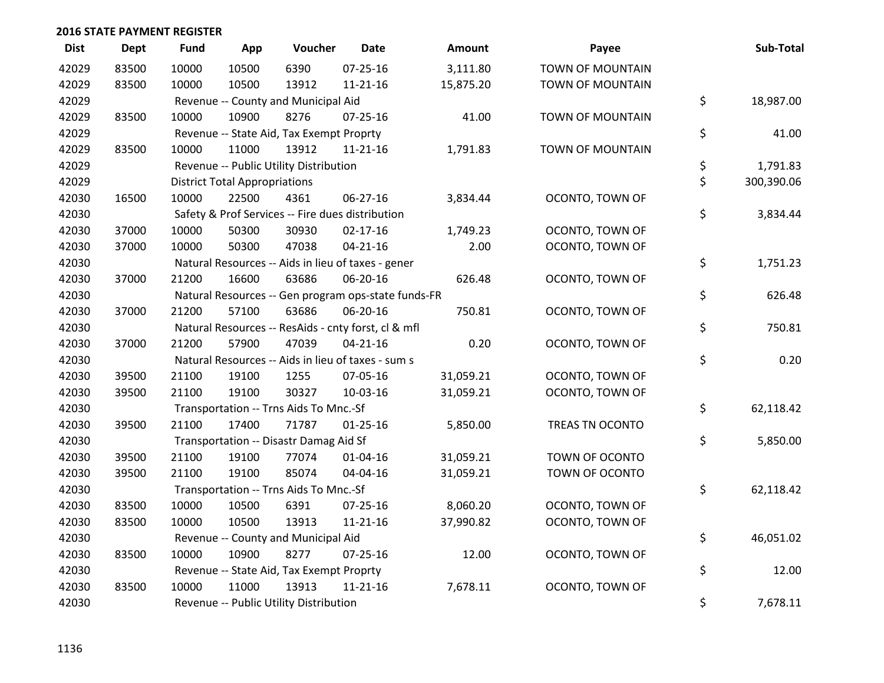| <b>Dist</b> | <b>Dept</b> | <b>Fund</b> | App                                  | Voucher                                             | <b>Date</b>    | Amount    | Payee                   | Sub-Total        |
|-------------|-------------|-------------|--------------------------------------|-----------------------------------------------------|----------------|-----------|-------------------------|------------------|
| 42029       | 83500       | 10000       | 10500                                | 6390                                                | $07 - 25 - 16$ | 3,111.80  | <b>TOWN OF MOUNTAIN</b> |                  |
| 42029       | 83500       | 10000       | 10500                                | 13912                                               | $11 - 21 - 16$ | 15,875.20 | TOWN OF MOUNTAIN        |                  |
| 42029       |             |             |                                      | Revenue -- County and Municipal Aid                 |                |           |                         | \$<br>18,987.00  |
| 42029       | 83500       | 10000       | 10900                                | 8276                                                | $07 - 25 - 16$ | 41.00     | TOWN OF MOUNTAIN        |                  |
| 42029       |             |             |                                      | Revenue -- State Aid, Tax Exempt Proprty            |                |           |                         | \$<br>41.00      |
| 42029       | 83500       | 10000       | 11000                                | 13912                                               | $11 - 21 - 16$ | 1,791.83  | <b>TOWN OF MOUNTAIN</b> |                  |
| 42029       |             |             |                                      | Revenue -- Public Utility Distribution              |                |           |                         | \$<br>1,791.83   |
| 42029       |             |             | <b>District Total Appropriations</b> |                                                     |                |           |                         | \$<br>300,390.06 |
| 42030       | 16500       | 10000       | 22500                                | 4361                                                | 06-27-16       | 3,834.44  | OCONTO, TOWN OF         |                  |
| 42030       |             |             |                                      | Safety & Prof Services -- Fire dues distribution    |                |           |                         | \$<br>3,834.44   |
| 42030       | 37000       | 10000       | 50300                                | 30930                                               | $02 - 17 - 16$ | 1,749.23  | OCONTO, TOWN OF         |                  |
| 42030       | 37000       | 10000       | 50300                                | 47038                                               | $04 - 21 - 16$ | 2.00      | OCONTO, TOWN OF         |                  |
| 42030       |             |             |                                      | Natural Resources -- Aids in lieu of taxes - gener  |                |           |                         | \$<br>1,751.23   |
| 42030       | 37000       | 21200       | 16600                                | 63686                                               | 06-20-16       | 626.48    | OCONTO, TOWN OF         |                  |
| 42030       |             |             |                                      | Natural Resources -- Gen program ops-state funds-FR |                |           |                         | \$<br>626.48     |
| 42030       | 37000       | 21200       | 57100                                | 63686                                               | 06-20-16       | 750.81    | OCONTO, TOWN OF         |                  |
| 42030       |             |             |                                      | Natural Resources -- ResAids - cnty forst, cl & mfl |                |           |                         | \$<br>750.81     |
| 42030       | 37000       | 21200       | 57900                                | 47039                                               | $04 - 21 - 16$ | 0.20      | OCONTO, TOWN OF         |                  |
| 42030       |             |             |                                      | Natural Resources -- Aids in lieu of taxes - sum s  |                |           |                         | \$<br>0.20       |
| 42030       | 39500       | 21100       | 19100                                | 1255                                                | 07-05-16       | 31,059.21 | OCONTO, TOWN OF         |                  |
| 42030       | 39500       | 21100       | 19100                                | 30327                                               | 10-03-16       | 31,059.21 | OCONTO, TOWN OF         |                  |
| 42030       |             |             |                                      | Transportation -- Trns Aids To Mnc.-Sf              |                |           |                         | \$<br>62,118.42  |
| 42030       | 39500       | 21100       | 17400                                | 71787                                               | $01 - 25 - 16$ | 5,850.00  | TREAS TN OCONTO         |                  |
| 42030       |             |             |                                      | Transportation -- Disastr Damag Aid Sf              |                |           |                         | \$<br>5,850.00   |
| 42030       | 39500       | 21100       | 19100                                | 77074                                               | $01 - 04 - 16$ | 31,059.21 | TOWN OF OCONTO          |                  |
| 42030       | 39500       | 21100       | 19100                                | 85074                                               | 04-04-16       | 31,059.21 | TOWN OF OCONTO          |                  |
| 42030       |             |             |                                      | Transportation -- Trns Aids To Mnc.-Sf              |                |           |                         | \$<br>62,118.42  |
| 42030       | 83500       | 10000       | 10500                                | 6391                                                | $07 - 25 - 16$ | 8,060.20  | OCONTO, TOWN OF         |                  |
| 42030       | 83500       | 10000       | 10500                                | 13913                                               | $11 - 21 - 16$ | 37,990.82 | OCONTO, TOWN OF         |                  |
| 42030       |             |             |                                      | Revenue -- County and Municipal Aid                 |                |           |                         | \$<br>46,051.02  |
| 42030       | 83500       | 10000       | 10900                                | 8277                                                | $07 - 25 - 16$ | 12.00     | OCONTO, TOWN OF         |                  |
| 42030       |             |             |                                      | Revenue -- State Aid, Tax Exempt Proprty            |                |           |                         | \$<br>12.00      |
| 42030       | 83500       | 10000       | 11000                                | 13913                                               | $11 - 21 - 16$ | 7,678.11  | OCONTO, TOWN OF         |                  |
| 42030       |             |             |                                      | Revenue -- Public Utility Distribution              |                |           |                         | \$<br>7,678.11   |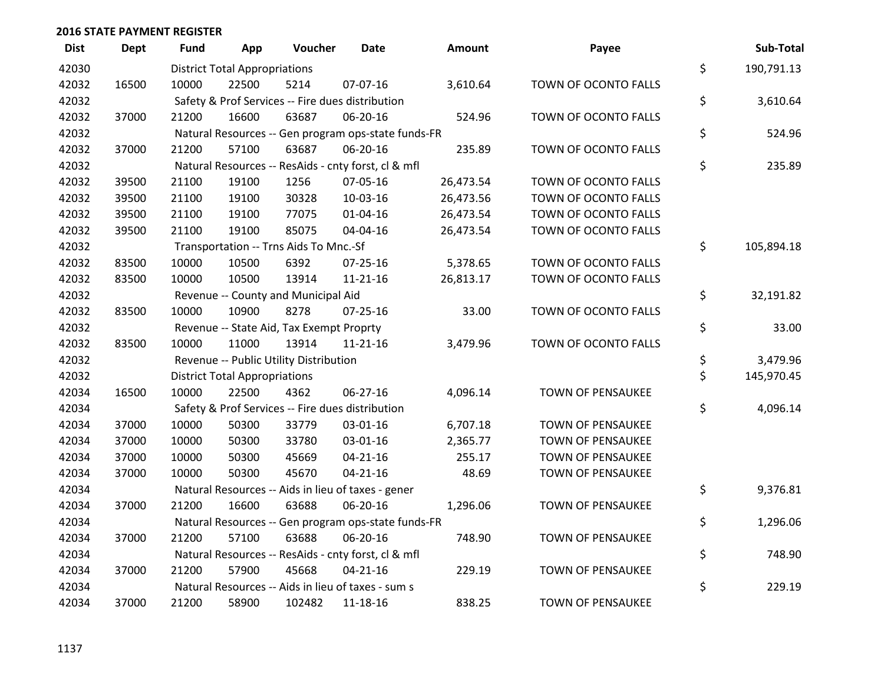| <b>Dist</b> | <b>Dept</b> | <b>Fund</b> | App                                  | Voucher                                             | Date           | Amount    | Payee                    | Sub-Total        |
|-------------|-------------|-------------|--------------------------------------|-----------------------------------------------------|----------------|-----------|--------------------------|------------------|
| 42030       |             |             | <b>District Total Appropriations</b> |                                                     |                |           |                          | \$<br>190,791.13 |
| 42032       | 16500       | 10000       | 22500                                | 5214                                                | 07-07-16       | 3,610.64  | TOWN OF OCONTO FALLS     |                  |
| 42032       |             |             |                                      | Safety & Prof Services -- Fire dues distribution    |                |           |                          | \$<br>3,610.64   |
| 42032       | 37000       | 21200       | 16600                                | 63687                                               | 06-20-16       | 524.96    | TOWN OF OCONTO FALLS     |                  |
| 42032       |             |             |                                      | Natural Resources -- Gen program ops-state funds-FR |                |           |                          | \$<br>524.96     |
| 42032       | 37000       | 21200       | 57100                                | 63687                                               | 06-20-16       | 235.89    | TOWN OF OCONTO FALLS     |                  |
| 42032       |             |             |                                      | Natural Resources -- ResAids - cnty forst, cl & mfl |                |           |                          | \$<br>235.89     |
| 42032       | 39500       | 21100       | 19100                                | 1256                                                | 07-05-16       | 26,473.54 | TOWN OF OCONTO FALLS     |                  |
| 42032       | 39500       | 21100       | 19100                                | 30328                                               | 10-03-16       | 26,473.56 | TOWN OF OCONTO FALLS     |                  |
| 42032       | 39500       | 21100       | 19100                                | 77075                                               | 01-04-16       | 26,473.54 | TOWN OF OCONTO FALLS     |                  |
| 42032       | 39500       | 21100       | 19100                                | 85075                                               | 04-04-16       | 26,473.54 | TOWN OF OCONTO FALLS     |                  |
| 42032       |             |             |                                      | Transportation -- Trns Aids To Mnc.-Sf              |                |           |                          | \$<br>105,894.18 |
| 42032       | 83500       | 10000       | 10500                                | 6392                                                | 07-25-16       | 5,378.65  | TOWN OF OCONTO FALLS     |                  |
| 42032       | 83500       | 10000       | 10500                                | 13914                                               | $11 - 21 - 16$ | 26,813.17 | TOWN OF OCONTO FALLS     |                  |
| 42032       |             |             |                                      | Revenue -- County and Municipal Aid                 |                |           |                          | \$<br>32,191.82  |
| 42032       | 83500       | 10000       | 10900                                | 8278                                                | 07-25-16       | 33.00     | TOWN OF OCONTO FALLS     |                  |
| 42032       |             |             |                                      | Revenue -- State Aid, Tax Exempt Proprty            |                |           |                          | \$<br>33.00      |
| 42032       | 83500       | 10000       | 11000                                | 13914                                               | $11 - 21 - 16$ | 3,479.96  | TOWN OF OCONTO FALLS     |                  |
| 42032       |             |             |                                      | Revenue -- Public Utility Distribution              |                |           |                          | \$<br>3,479.96   |
| 42032       |             |             | <b>District Total Appropriations</b> |                                                     |                |           |                          | \$<br>145,970.45 |
| 42034       | 16500       | 10000       | 22500                                | 4362                                                | 06-27-16       | 4,096.14  | <b>TOWN OF PENSAUKEE</b> |                  |
| 42034       |             |             |                                      | Safety & Prof Services -- Fire dues distribution    |                |           |                          | \$<br>4,096.14   |
| 42034       | 37000       | 10000       | 50300                                | 33779                                               | 03-01-16       | 6,707.18  | TOWN OF PENSAUKEE        |                  |
| 42034       | 37000       | 10000       | 50300                                | 33780                                               | 03-01-16       | 2,365.77  | TOWN OF PENSAUKEE        |                  |
| 42034       | 37000       | 10000       | 50300                                | 45669                                               | $04 - 21 - 16$ | 255.17    | <b>TOWN OF PENSAUKEE</b> |                  |
| 42034       | 37000       | 10000       | 50300                                | 45670                                               | $04 - 21 - 16$ | 48.69     | TOWN OF PENSAUKEE        |                  |
| 42034       |             |             |                                      | Natural Resources -- Aids in lieu of taxes - gener  |                |           |                          | \$<br>9,376.81   |
| 42034       | 37000       | 21200       | 16600                                | 63688                                               | 06-20-16       | 1,296.06  | TOWN OF PENSAUKEE        |                  |
| 42034       |             |             |                                      | Natural Resources -- Gen program ops-state funds-FR |                |           |                          | \$<br>1,296.06   |
| 42034       | 37000       | 21200       | 57100                                | 63688                                               | 06-20-16       | 748.90    | <b>TOWN OF PENSAUKEE</b> |                  |
| 42034       |             |             |                                      | Natural Resources -- ResAids - cnty forst, cl & mfl |                |           |                          | \$<br>748.90     |
| 42034       | 37000       | 21200       | 57900                                | 45668                                               | $04 - 21 - 16$ | 229.19    | <b>TOWN OF PENSAUKEE</b> |                  |
| 42034       |             |             |                                      | Natural Resources -- Aids in lieu of taxes - sum s  |                |           |                          | \$<br>229.19     |
| 42034       | 37000       | 21200       | 58900                                | 102482                                              | 11-18-16       | 838.25    | <b>TOWN OF PENSAUKEE</b> |                  |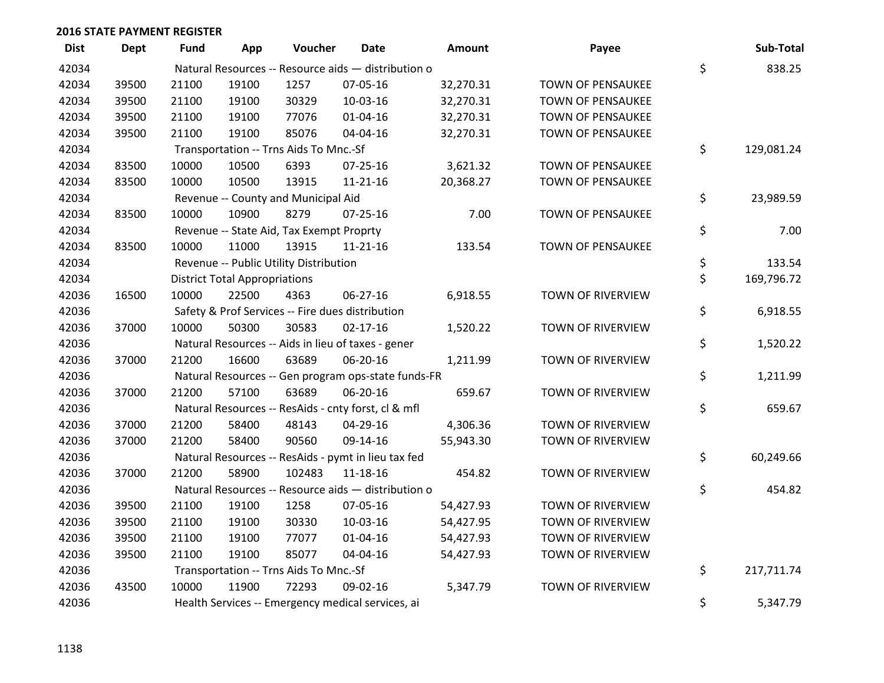| <b>Dist</b> | Dept  | Fund  | App                                  | Voucher                                  | <b>Date</b>                                         | <b>Amount</b> | Payee                    | Sub-Total        |
|-------------|-------|-------|--------------------------------------|------------------------------------------|-----------------------------------------------------|---------------|--------------------------|------------------|
| 42034       |       |       |                                      |                                          | Natural Resources -- Resource aids - distribution o |               |                          | \$<br>838.25     |
| 42034       | 39500 | 21100 | 19100                                | 1257                                     | 07-05-16                                            | 32,270.31     | <b>TOWN OF PENSAUKEE</b> |                  |
| 42034       | 39500 | 21100 | 19100                                | 30329                                    | 10-03-16                                            | 32,270.31     | <b>TOWN OF PENSAUKEE</b> |                  |
| 42034       | 39500 | 21100 | 19100                                | 77076                                    | $01 - 04 - 16$                                      | 32,270.31     | <b>TOWN OF PENSAUKEE</b> |                  |
| 42034       | 39500 | 21100 | 19100                                | 85076                                    | 04-04-16                                            | 32,270.31     | <b>TOWN OF PENSAUKEE</b> |                  |
| 42034       |       |       |                                      | Transportation -- Trns Aids To Mnc.-Sf   |                                                     |               |                          | \$<br>129,081.24 |
| 42034       | 83500 | 10000 | 10500                                | 6393                                     | $07 - 25 - 16$                                      | 3,621.32      | <b>TOWN OF PENSAUKEE</b> |                  |
| 42034       | 83500 | 10000 | 10500                                | 13915                                    | $11 - 21 - 16$                                      | 20,368.27     | TOWN OF PENSAUKEE        |                  |
| 42034       |       |       |                                      | Revenue -- County and Municipal Aid      |                                                     |               |                          | \$<br>23,989.59  |
| 42034       | 83500 | 10000 | 10900                                | 8279                                     | $07 - 25 - 16$                                      | 7.00          | TOWN OF PENSAUKEE        |                  |
| 42034       |       |       |                                      | Revenue -- State Aid, Tax Exempt Proprty |                                                     |               |                          | \$<br>7.00       |
| 42034       | 83500 | 10000 | 11000                                | 13915                                    | $11 - 21 - 16$                                      | 133.54        | TOWN OF PENSAUKEE        |                  |
| 42034       |       |       |                                      | Revenue -- Public Utility Distribution   |                                                     |               |                          | \$<br>133.54     |
| 42034       |       |       | <b>District Total Appropriations</b> |                                          |                                                     |               |                          | \$<br>169,796.72 |
| 42036       | 16500 | 10000 | 22500                                | 4363                                     | 06-27-16                                            | 6,918.55      | TOWN OF RIVERVIEW        |                  |
| 42036       |       |       |                                      |                                          | Safety & Prof Services -- Fire dues distribution    |               |                          | \$<br>6,918.55   |
| 42036       | 37000 | 10000 | 50300                                | 30583                                    | $02 - 17 - 16$                                      | 1,520.22      | TOWN OF RIVERVIEW        |                  |
| 42036       |       |       |                                      |                                          | Natural Resources -- Aids in lieu of taxes - gener  |               |                          | \$<br>1,520.22   |
| 42036       | 37000 | 21200 | 16600                                | 63689                                    | 06-20-16                                            | 1,211.99      | TOWN OF RIVERVIEW        |                  |
| 42036       |       |       |                                      |                                          | Natural Resources -- Gen program ops-state funds-FR |               |                          | \$<br>1,211.99   |
| 42036       | 37000 | 21200 | 57100                                | 63689                                    | 06-20-16                                            | 659.67        | TOWN OF RIVERVIEW        |                  |
| 42036       |       |       |                                      |                                          | Natural Resources -- ResAids - cnty forst, cl & mfl |               |                          | \$<br>659.67     |
| 42036       | 37000 | 21200 | 58400                                | 48143                                    | 04-29-16                                            | 4,306.36      | TOWN OF RIVERVIEW        |                  |
| 42036       | 37000 | 21200 | 58400                                | 90560                                    | 09-14-16                                            | 55,943.30     | TOWN OF RIVERVIEW        |                  |
| 42036       |       |       |                                      |                                          | Natural Resources -- ResAids - pymt in lieu tax fed |               |                          | \$<br>60,249.66  |
| 42036       | 37000 | 21200 | 58900                                | 102483                                   | $11 - 18 - 16$                                      | 454.82        | TOWN OF RIVERVIEW        |                  |
| 42036       |       |       |                                      |                                          | Natural Resources -- Resource aids - distribution o |               |                          | \$<br>454.82     |
| 42036       | 39500 | 21100 | 19100                                | 1258                                     | 07-05-16                                            | 54,427.93     | TOWN OF RIVERVIEW        |                  |
| 42036       | 39500 | 21100 | 19100                                | 30330                                    | 10-03-16                                            | 54,427.95     | TOWN OF RIVERVIEW        |                  |
| 42036       | 39500 | 21100 | 19100                                | 77077                                    | $01 - 04 - 16$                                      | 54,427.93     | TOWN OF RIVERVIEW        |                  |
| 42036       | 39500 | 21100 | 19100                                | 85077                                    | 04-04-16                                            | 54,427.93     | TOWN OF RIVERVIEW        |                  |
| 42036       |       |       |                                      | Transportation -- Trns Aids To Mnc.-Sf   |                                                     |               |                          | \$<br>217,711.74 |
| 42036       | 43500 | 10000 | 11900                                | 72293                                    | 09-02-16                                            | 5,347.79      | TOWN OF RIVERVIEW        |                  |
| 42036       |       |       |                                      |                                          | Health Services -- Emergency medical services, ai   |               |                          | \$<br>5,347.79   |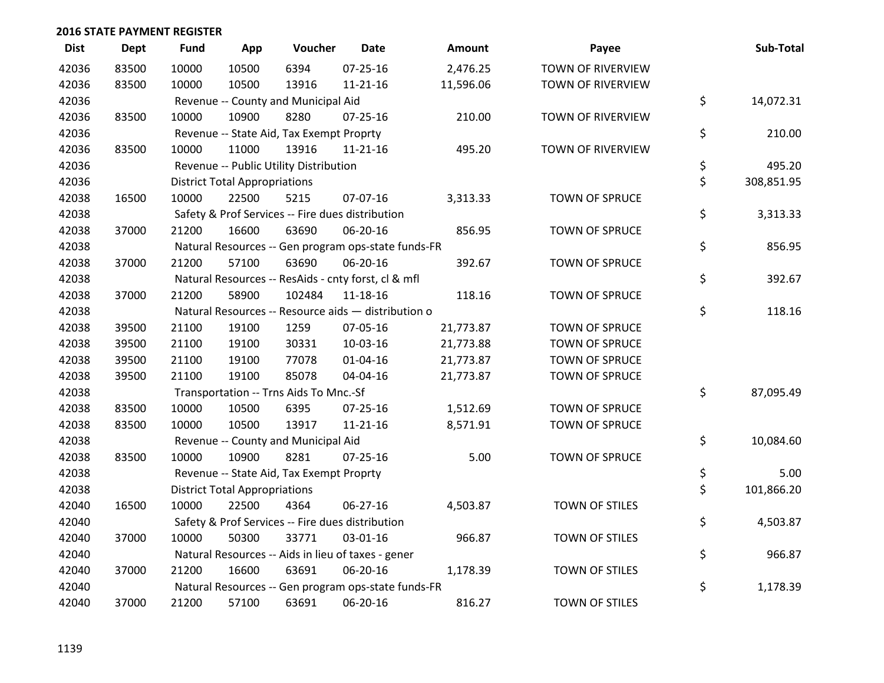| <b>Dist</b> | Dept  | <b>Fund</b> | App                                  | Voucher                                  | <b>Date</b>                                         | Amount    | Payee                    | Sub-Total        |
|-------------|-------|-------------|--------------------------------------|------------------------------------------|-----------------------------------------------------|-----------|--------------------------|------------------|
| 42036       | 83500 | 10000       | 10500                                | 6394                                     | $07 - 25 - 16$                                      | 2,476.25  | <b>TOWN OF RIVERVIEW</b> |                  |
| 42036       | 83500 | 10000       | 10500                                | 13916                                    | $11 - 21 - 16$                                      | 11,596.06 | TOWN OF RIVERVIEW        |                  |
| 42036       |       |             |                                      | Revenue -- County and Municipal Aid      |                                                     |           |                          | \$<br>14,072.31  |
| 42036       | 83500 | 10000       | 10900                                | 8280                                     | $07 - 25 - 16$                                      | 210.00    | TOWN OF RIVERVIEW        |                  |
| 42036       |       |             |                                      | Revenue -- State Aid, Tax Exempt Proprty |                                                     |           |                          | \$<br>210.00     |
| 42036       | 83500 | 10000       | 11000                                | 13916                                    | 11-21-16                                            | 495.20    | TOWN OF RIVERVIEW        |                  |
| 42036       |       |             |                                      | Revenue -- Public Utility Distribution   |                                                     |           |                          | \$<br>495.20     |
| 42036       |       |             | <b>District Total Appropriations</b> |                                          |                                                     |           |                          | \$<br>308,851.95 |
| 42038       | 16500 | 10000       | 22500                                | 5215                                     | 07-07-16                                            | 3,313.33  | TOWN OF SPRUCE           |                  |
| 42038       |       |             |                                      |                                          | Safety & Prof Services -- Fire dues distribution    |           |                          | \$<br>3,313.33   |
| 42038       | 37000 | 21200       | 16600                                | 63690                                    | 06-20-16                                            | 856.95    | TOWN OF SPRUCE           |                  |
| 42038       |       |             |                                      |                                          | Natural Resources -- Gen program ops-state funds-FR |           |                          | \$<br>856.95     |
| 42038       | 37000 | 21200       | 57100                                | 63690                                    | 06-20-16                                            | 392.67    | <b>TOWN OF SPRUCE</b>    |                  |
| 42038       |       |             |                                      |                                          | Natural Resources -- ResAids - cnty forst, cl & mfl |           |                          | \$<br>392.67     |
| 42038       | 37000 | 21200       | 58900                                | 102484                                   | 11-18-16                                            | 118.16    | <b>TOWN OF SPRUCE</b>    |                  |
| 42038       |       |             |                                      |                                          | Natural Resources -- Resource aids - distribution o |           |                          | \$<br>118.16     |
| 42038       | 39500 | 21100       | 19100                                | 1259                                     | 07-05-16                                            | 21,773.87 | TOWN OF SPRUCE           |                  |
| 42038       | 39500 | 21100       | 19100                                | 30331                                    | 10-03-16                                            | 21,773.88 | <b>TOWN OF SPRUCE</b>    |                  |
| 42038       | 39500 | 21100       | 19100                                | 77078                                    | $01 - 04 - 16$                                      | 21,773.87 | <b>TOWN OF SPRUCE</b>    |                  |
| 42038       | 39500 | 21100       | 19100                                | 85078                                    | 04-04-16                                            | 21,773.87 | <b>TOWN OF SPRUCE</b>    |                  |
| 42038       |       |             |                                      | Transportation -- Trns Aids To Mnc.-Sf   |                                                     |           |                          | \$<br>87,095.49  |
| 42038       | 83500 | 10000       | 10500                                | 6395                                     | 07-25-16                                            | 1,512.69  | TOWN OF SPRUCE           |                  |
| 42038       | 83500 | 10000       | 10500                                | 13917                                    | $11 - 21 - 16$                                      | 8,571.91  | TOWN OF SPRUCE           |                  |
| 42038       |       |             |                                      | Revenue -- County and Municipal Aid      |                                                     |           |                          | \$<br>10,084.60  |
| 42038       | 83500 | 10000       | 10900                                | 8281                                     | $07 - 25 - 16$                                      | 5.00      | TOWN OF SPRUCE           |                  |
| 42038       |       |             |                                      | Revenue -- State Aid, Tax Exempt Proprty |                                                     |           |                          | \$<br>5.00       |
| 42038       |       |             | <b>District Total Appropriations</b> |                                          |                                                     |           |                          | \$<br>101,866.20 |
| 42040       | 16500 | 10000       | 22500                                | 4364                                     | 06-27-16                                            | 4,503.87  | <b>TOWN OF STILES</b>    |                  |
| 42040       |       |             |                                      |                                          | Safety & Prof Services -- Fire dues distribution    |           |                          | \$<br>4,503.87   |
| 42040       | 37000 | 10000       | 50300                                | 33771                                    | 03-01-16                                            | 966.87    | TOWN OF STILES           |                  |
| 42040       |       |             |                                      |                                          | Natural Resources -- Aids in lieu of taxes - gener  |           |                          | \$<br>966.87     |
| 42040       | 37000 | 21200       | 16600                                | 63691                                    | 06-20-16                                            | 1,178.39  | TOWN OF STILES           |                  |
| 42040       |       |             |                                      |                                          | Natural Resources -- Gen program ops-state funds-FR |           |                          | \$<br>1,178.39   |
| 42040       | 37000 | 21200       | 57100                                | 63691                                    | 06-20-16                                            | 816.27    | <b>TOWN OF STILES</b>    |                  |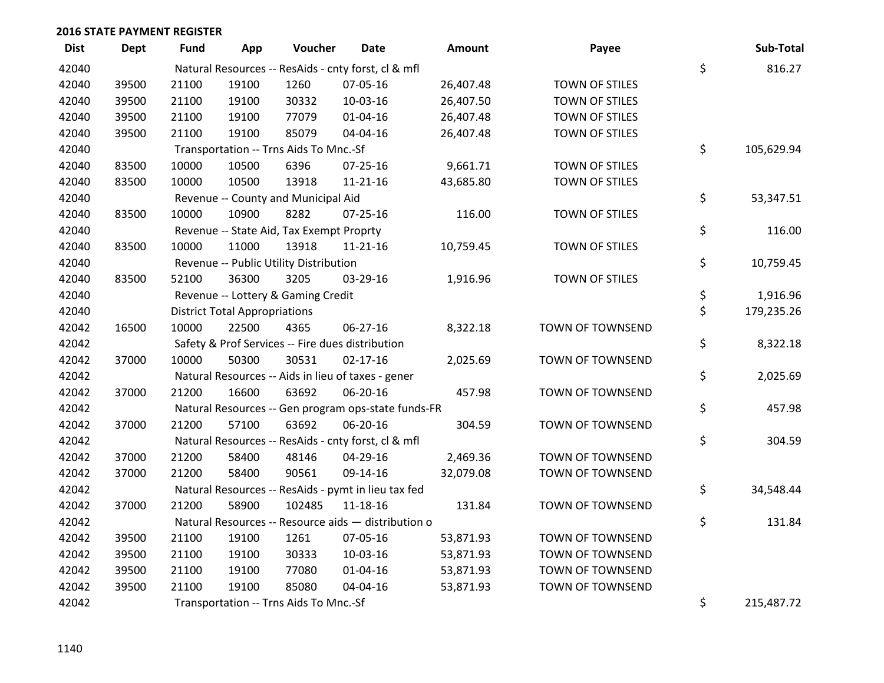| <b>Dist</b> | <b>Dept</b> | <b>Fund</b> | App                                  | Voucher                                  | Date                                                | Amount    | Payee                 | Sub-Total        |
|-------------|-------------|-------------|--------------------------------------|------------------------------------------|-----------------------------------------------------|-----------|-----------------------|------------------|
| 42040       |             |             |                                      |                                          | Natural Resources -- ResAids - cnty forst, cl & mfl |           |                       | \$<br>816.27     |
| 42040       | 39500       | 21100       | 19100                                | 1260                                     | 07-05-16                                            | 26,407.48 | TOWN OF STILES        |                  |
| 42040       | 39500       | 21100       | 19100                                | 30332                                    | 10-03-16                                            | 26,407.50 | <b>TOWN OF STILES</b> |                  |
| 42040       | 39500       | 21100       | 19100                                | 77079                                    | $01 - 04 - 16$                                      | 26,407.48 | TOWN OF STILES        |                  |
| 42040       | 39500       | 21100       | 19100                                | 85079                                    | 04-04-16                                            | 26,407.48 | TOWN OF STILES        |                  |
| 42040       |             |             |                                      | Transportation -- Trns Aids To Mnc.-Sf   |                                                     |           |                       | \$<br>105,629.94 |
| 42040       | 83500       | 10000       | 10500                                | 6396                                     | $07 - 25 - 16$                                      | 9,661.71  | TOWN OF STILES        |                  |
| 42040       | 83500       | 10000       | 10500                                | 13918                                    | $11 - 21 - 16$                                      | 43,685.80 | <b>TOWN OF STILES</b> |                  |
| 42040       |             |             |                                      | Revenue -- County and Municipal Aid      |                                                     |           |                       | \$<br>53,347.51  |
| 42040       | 83500       | 10000       | 10900                                | 8282                                     | $07 - 25 - 16$                                      | 116.00    | TOWN OF STILES        |                  |
| 42040       |             |             |                                      | Revenue -- State Aid, Tax Exempt Proprty |                                                     |           |                       | \$<br>116.00     |
| 42040       | 83500       | 10000       | 11000                                | 13918                                    | 11-21-16                                            | 10,759.45 | TOWN OF STILES        |                  |
| 42040       |             |             |                                      | Revenue -- Public Utility Distribution   |                                                     |           |                       | \$<br>10,759.45  |
| 42040       | 83500       | 52100       | 36300                                | 3205                                     | 03-29-16                                            | 1,916.96  | TOWN OF STILES        |                  |
| 42040       |             |             |                                      | Revenue -- Lottery & Gaming Credit       |                                                     |           |                       | \$<br>1,916.96   |
| 42040       |             |             | <b>District Total Appropriations</b> |                                          |                                                     |           |                       | \$<br>179,235.26 |
| 42042       | 16500       | 10000       | 22500                                | 4365                                     | 06-27-16                                            | 8,322.18  | TOWN OF TOWNSEND      |                  |
| 42042       |             |             |                                      |                                          | Safety & Prof Services -- Fire dues distribution    |           |                       | \$<br>8,322.18   |
| 42042       | 37000       | 10000       | 50300                                | 30531                                    | $02 - 17 - 16$                                      | 2,025.69  | TOWN OF TOWNSEND      |                  |
| 42042       |             |             |                                      |                                          | Natural Resources -- Aids in lieu of taxes - gener  |           |                       | \$<br>2,025.69   |
| 42042       | 37000       | 21200       | 16600                                | 63692                                    | 06-20-16                                            | 457.98    | TOWN OF TOWNSEND      |                  |
| 42042       |             |             |                                      |                                          | Natural Resources -- Gen program ops-state funds-FR |           |                       | \$<br>457.98     |
| 42042       | 37000       | 21200       | 57100                                | 63692                                    | 06-20-16                                            | 304.59    | TOWN OF TOWNSEND      |                  |
| 42042       |             |             |                                      |                                          | Natural Resources -- ResAids - cnty forst, cl & mfl |           |                       | \$<br>304.59     |
| 42042       | 37000       | 21200       | 58400                                | 48146                                    | 04-29-16                                            | 2,469.36  | TOWN OF TOWNSEND      |                  |
| 42042       | 37000       | 21200       | 58400                                | 90561                                    | 09-14-16                                            | 32,079.08 | TOWN OF TOWNSEND      |                  |
| 42042       |             |             |                                      |                                          | Natural Resources -- ResAids - pymt in lieu tax fed |           |                       | \$<br>34,548.44  |
| 42042       | 37000       | 21200       | 58900                                | 102485                                   | $11 - 18 - 16$                                      | 131.84    | TOWN OF TOWNSEND      |                  |
| 42042       |             |             |                                      |                                          | Natural Resources -- Resource aids - distribution o |           |                       | \$<br>131.84     |
| 42042       | 39500       | 21100       | 19100                                | 1261                                     | 07-05-16                                            | 53,871.93 | TOWN OF TOWNSEND      |                  |
| 42042       | 39500       | 21100       | 19100                                | 30333                                    | 10-03-16                                            | 53,871.93 | TOWN OF TOWNSEND      |                  |
| 42042       | 39500       | 21100       | 19100                                | 77080                                    | $01 - 04 - 16$                                      | 53,871.93 | TOWN OF TOWNSEND      |                  |
| 42042       | 39500       | 21100       | 19100                                | 85080                                    | 04-04-16                                            | 53,871.93 | TOWN OF TOWNSEND      |                  |
| 42042       |             |             |                                      | Transportation -- Trns Aids To Mnc.-Sf   |                                                     |           |                       | \$<br>215,487.72 |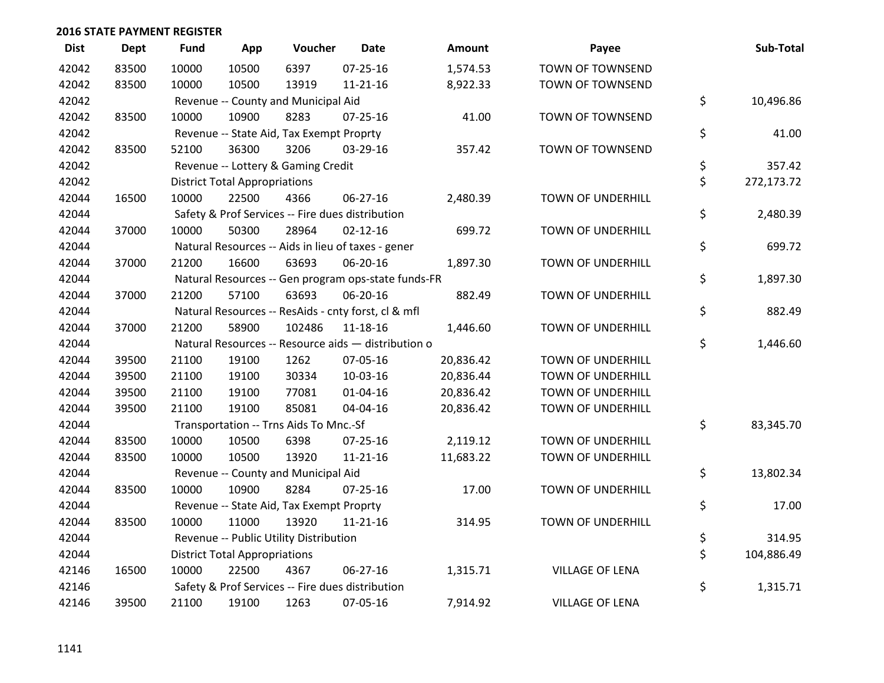| <b>Dist</b> | Dept  | <b>Fund</b> | App                                  | Voucher                                  | <b>Date</b>                                         | <b>Amount</b> | Payee                    | Sub-Total        |
|-------------|-------|-------------|--------------------------------------|------------------------------------------|-----------------------------------------------------|---------------|--------------------------|------------------|
| 42042       | 83500 | 10000       | 10500                                | 6397                                     | 07-25-16                                            | 1,574.53      | TOWN OF TOWNSEND         |                  |
| 42042       | 83500 | 10000       | 10500                                | 13919                                    | $11 - 21 - 16$                                      | 8,922.33      | TOWN OF TOWNSEND         |                  |
| 42042       |       |             |                                      | Revenue -- County and Municipal Aid      |                                                     |               |                          | \$<br>10,496.86  |
| 42042       | 83500 | 10000       | 10900                                | 8283                                     | 07-25-16                                            | 41.00         | TOWN OF TOWNSEND         |                  |
| 42042       |       |             |                                      | Revenue -- State Aid, Tax Exempt Proprty |                                                     |               |                          | \$<br>41.00      |
| 42042       | 83500 | 52100       | 36300                                | 3206                                     | 03-29-16                                            | 357.42        | <b>TOWN OF TOWNSEND</b>  |                  |
| 42042       |       |             |                                      | Revenue -- Lottery & Gaming Credit       |                                                     |               |                          | \$<br>357.42     |
| 42042       |       |             | <b>District Total Appropriations</b> |                                          |                                                     |               |                          | \$<br>272,173.72 |
| 42044       | 16500 | 10000       | 22500                                | 4366                                     | $06 - 27 - 16$                                      | 2,480.39      | TOWN OF UNDERHILL        |                  |
| 42044       |       |             |                                      |                                          | Safety & Prof Services -- Fire dues distribution    |               |                          | \$<br>2,480.39   |
| 42044       | 37000 | 10000       | 50300                                | 28964                                    | $02 - 12 - 16$                                      | 699.72        | TOWN OF UNDERHILL        |                  |
| 42044       |       |             |                                      |                                          | Natural Resources -- Aids in lieu of taxes - gener  |               |                          | \$<br>699.72     |
| 42044       | 37000 | 21200       | 16600                                | 63693                                    | 06-20-16                                            | 1,897.30      | TOWN OF UNDERHILL        |                  |
| 42044       |       |             |                                      |                                          | Natural Resources -- Gen program ops-state funds-FR |               |                          | \$<br>1,897.30   |
| 42044       | 37000 | 21200       | 57100                                | 63693                                    | 06-20-16                                            | 882.49        | <b>TOWN OF UNDERHILL</b> |                  |
| 42044       |       |             |                                      |                                          | Natural Resources -- ResAids - cnty forst, cl & mfl |               |                          | \$<br>882.49     |
| 42044       | 37000 | 21200       | 58900                                | 102486                                   | 11-18-16                                            | 1,446.60      | TOWN OF UNDERHILL        |                  |
| 42044       |       |             |                                      |                                          | Natural Resources -- Resource aids - distribution o |               |                          | \$<br>1,446.60   |
| 42044       | 39500 | 21100       | 19100                                | 1262                                     | 07-05-16                                            | 20,836.42     | <b>TOWN OF UNDERHILL</b> |                  |
| 42044       | 39500 | 21100       | 19100                                | 30334                                    | 10-03-16                                            | 20,836.44     | <b>TOWN OF UNDERHILL</b> |                  |
| 42044       | 39500 | 21100       | 19100                                | 77081                                    | $01 - 04 - 16$                                      | 20,836.42     | <b>TOWN OF UNDERHILL</b> |                  |
| 42044       | 39500 | 21100       | 19100                                | 85081                                    | 04-04-16                                            | 20,836.42     | TOWN OF UNDERHILL        |                  |
| 42044       |       |             |                                      | Transportation -- Trns Aids To Mnc.-Sf   |                                                     |               |                          | \$<br>83,345.70  |
| 42044       | 83500 | 10000       | 10500                                | 6398                                     | $07 - 25 - 16$                                      | 2,119.12      | <b>TOWN OF UNDERHILL</b> |                  |
| 42044       | 83500 | 10000       | 10500                                | 13920                                    | $11 - 21 - 16$                                      | 11,683.22     | TOWN OF UNDERHILL        |                  |
| 42044       |       |             |                                      | Revenue -- County and Municipal Aid      |                                                     |               |                          | \$<br>13,802.34  |
| 42044       | 83500 | 10000       | 10900                                | 8284                                     | $07 - 25 - 16$                                      | 17.00         | TOWN OF UNDERHILL        |                  |
| 42044       |       |             |                                      | Revenue -- State Aid, Tax Exempt Proprty |                                                     |               |                          | \$<br>17.00      |
| 42044       | 83500 | 10000       | 11000                                | 13920                                    | $11 - 21 - 16$                                      | 314.95        | <b>TOWN OF UNDERHILL</b> |                  |
| 42044       |       |             |                                      | Revenue -- Public Utility Distribution   |                                                     |               |                          | \$<br>314.95     |
| 42044       |       |             | <b>District Total Appropriations</b> |                                          |                                                     |               |                          | \$<br>104,886.49 |
| 42146       | 16500 | 10000       | 22500                                | 4367                                     | 06-27-16                                            | 1,315.71      | <b>VILLAGE OF LENA</b>   |                  |
| 42146       |       |             |                                      |                                          | Safety & Prof Services -- Fire dues distribution    |               |                          | \$<br>1,315.71   |
| 42146       | 39500 | 21100       | 19100                                | 1263                                     | 07-05-16                                            | 7,914.92      | <b>VILLAGE OF LENA</b>   |                  |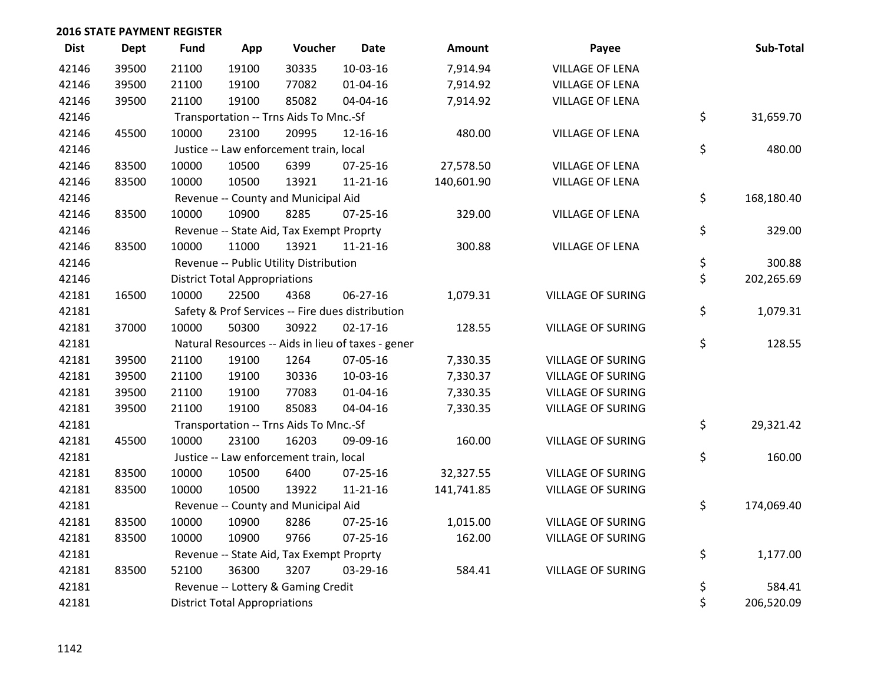| <b>Dist</b> | <b>Dept</b> | Fund  | App                                  | Voucher                                  | <b>Date</b>                                        | Amount     | Payee                    | Sub-Total        |
|-------------|-------------|-------|--------------------------------------|------------------------------------------|----------------------------------------------------|------------|--------------------------|------------------|
| 42146       | 39500       | 21100 | 19100                                | 30335                                    | $10-03-16$                                         | 7,914.94   | <b>VILLAGE OF LENA</b>   |                  |
| 42146       | 39500       | 21100 | 19100                                | 77082                                    | $01 - 04 - 16$                                     | 7,914.92   | <b>VILLAGE OF LENA</b>   |                  |
| 42146       | 39500       | 21100 | 19100                                | 85082                                    | 04-04-16                                           | 7,914.92   | <b>VILLAGE OF LENA</b>   |                  |
| 42146       |             |       |                                      | Transportation -- Trns Aids To Mnc.-Sf   |                                                    |            |                          | \$<br>31,659.70  |
| 42146       | 45500       | 10000 | 23100                                | 20995                                    | 12-16-16                                           | 480.00     | <b>VILLAGE OF LENA</b>   |                  |
| 42146       |             |       |                                      | Justice -- Law enforcement train, local  |                                                    |            |                          | \$<br>480.00     |
| 42146       | 83500       | 10000 | 10500                                | 6399                                     | $07 - 25 - 16$                                     | 27,578.50  | <b>VILLAGE OF LENA</b>   |                  |
| 42146       | 83500       | 10000 | 10500                                | 13921                                    | $11 - 21 - 16$                                     | 140,601.90 | <b>VILLAGE OF LENA</b>   |                  |
| 42146       |             |       |                                      | Revenue -- County and Municipal Aid      |                                                    |            |                          | \$<br>168,180.40 |
| 42146       | 83500       | 10000 | 10900                                | 8285                                     | 07-25-16                                           | 329.00     | <b>VILLAGE OF LENA</b>   |                  |
| 42146       |             |       |                                      | Revenue -- State Aid, Tax Exempt Proprty |                                                    |            |                          | \$<br>329.00     |
| 42146       | 83500       | 10000 | 11000                                | 13921                                    | 11-21-16                                           | 300.88     | <b>VILLAGE OF LENA</b>   |                  |
| 42146       |             |       |                                      | Revenue -- Public Utility Distribution   |                                                    |            |                          | \$<br>300.88     |
| 42146       |             |       | <b>District Total Appropriations</b> |                                          |                                                    |            |                          | \$<br>202,265.69 |
| 42181       | 16500       | 10000 | 22500                                | 4368                                     | 06-27-16                                           | 1,079.31   | <b>VILLAGE OF SURING</b> |                  |
| 42181       |             |       |                                      |                                          | Safety & Prof Services -- Fire dues distribution   |            |                          | \$<br>1,079.31   |
| 42181       | 37000       | 10000 | 50300                                | 30922                                    | $02 - 17 - 16$                                     | 128.55     | <b>VILLAGE OF SURING</b> |                  |
| 42181       |             |       |                                      |                                          | Natural Resources -- Aids in lieu of taxes - gener |            |                          | \$<br>128.55     |
| 42181       | 39500       | 21100 | 19100                                | 1264                                     | 07-05-16                                           | 7,330.35   | <b>VILLAGE OF SURING</b> |                  |
| 42181       | 39500       | 21100 | 19100                                | 30336                                    | 10-03-16                                           | 7,330.37   | <b>VILLAGE OF SURING</b> |                  |
| 42181       | 39500       | 21100 | 19100                                | 77083                                    | $01 - 04 - 16$                                     | 7,330.35   | <b>VILLAGE OF SURING</b> |                  |
| 42181       | 39500       | 21100 | 19100                                | 85083                                    | 04-04-16                                           | 7,330.35   | <b>VILLAGE OF SURING</b> |                  |
| 42181       |             |       |                                      | Transportation -- Trns Aids To Mnc.-Sf   |                                                    |            |                          | \$<br>29,321.42  |
| 42181       | 45500       | 10000 | 23100                                | 16203                                    | 09-09-16                                           | 160.00     | <b>VILLAGE OF SURING</b> |                  |
| 42181       |             |       |                                      | Justice -- Law enforcement train, local  |                                                    |            |                          | \$<br>160.00     |
| 42181       | 83500       | 10000 | 10500                                | 6400                                     | 07-25-16                                           | 32,327.55  | <b>VILLAGE OF SURING</b> |                  |
| 42181       | 83500       | 10000 | 10500                                | 13922                                    | $11 - 21 - 16$                                     | 141,741.85 | <b>VILLAGE OF SURING</b> |                  |
| 42181       |             |       |                                      | Revenue -- County and Municipal Aid      |                                                    |            |                          | \$<br>174,069.40 |
| 42181       | 83500       | 10000 | 10900                                | 8286                                     | $07 - 25 - 16$                                     | 1,015.00   | <b>VILLAGE OF SURING</b> |                  |
| 42181       | 83500       | 10000 | 10900                                | 9766                                     | $07 - 25 - 16$                                     | 162.00     | <b>VILLAGE OF SURING</b> |                  |
| 42181       |             |       |                                      | Revenue -- State Aid, Tax Exempt Proprty |                                                    |            |                          | \$<br>1,177.00   |
| 42181       | 83500       | 52100 | 36300                                | 3207                                     | 03-29-16                                           | 584.41     | <b>VILLAGE OF SURING</b> |                  |
| 42181       |             |       |                                      | Revenue -- Lottery & Gaming Credit       |                                                    |            |                          | \$<br>584.41     |
| 42181       |             |       | <b>District Total Appropriations</b> |                                          |                                                    |            |                          | \$<br>206,520.09 |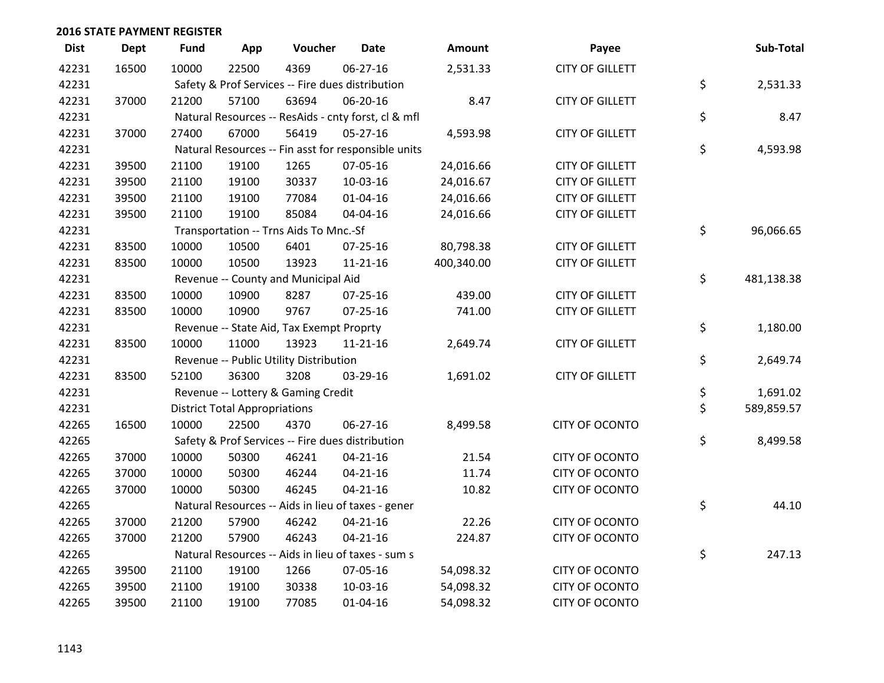| <b>Dist</b> | <b>Dept</b> | <b>Fund</b> | App                                  | Voucher                                  | <b>Date</b>                                         | Amount     | Payee                  | Sub-Total        |
|-------------|-------------|-------------|--------------------------------------|------------------------------------------|-----------------------------------------------------|------------|------------------------|------------------|
| 42231       | 16500       | 10000       | 22500                                | 4369                                     | $06 - 27 - 16$                                      | 2,531.33   | <b>CITY OF GILLETT</b> |                  |
| 42231       |             |             |                                      |                                          | Safety & Prof Services -- Fire dues distribution    |            |                        | \$<br>2,531.33   |
| 42231       | 37000       | 21200       | 57100                                | 63694                                    | 06-20-16                                            | 8.47       | <b>CITY OF GILLETT</b> |                  |
| 42231       |             |             |                                      |                                          | Natural Resources -- ResAids - cnty forst, cl & mfl |            |                        | \$<br>8.47       |
| 42231       | 37000       | 27400       | 67000                                | 56419                                    | $05 - 27 - 16$                                      | 4,593.98   | <b>CITY OF GILLETT</b> |                  |
| 42231       |             |             |                                      |                                          | Natural Resources -- Fin asst for responsible units |            |                        | \$<br>4,593.98   |
| 42231       | 39500       | 21100       | 19100                                | 1265                                     | 07-05-16                                            | 24,016.66  | <b>CITY OF GILLETT</b> |                  |
| 42231       | 39500       | 21100       | 19100                                | 30337                                    | $10-03-16$                                          | 24,016.67  | <b>CITY OF GILLETT</b> |                  |
| 42231       | 39500       | 21100       | 19100                                | 77084                                    | $01 - 04 - 16$                                      | 24,016.66  | <b>CITY OF GILLETT</b> |                  |
| 42231       | 39500       | 21100       | 19100                                | 85084                                    | 04-04-16                                            | 24,016.66  | <b>CITY OF GILLETT</b> |                  |
| 42231       |             |             |                                      | Transportation -- Trns Aids To Mnc.-Sf   |                                                     |            |                        | \$<br>96,066.65  |
| 42231       | 83500       | 10000       | 10500                                | 6401                                     | 07-25-16                                            | 80,798.38  | <b>CITY OF GILLETT</b> |                  |
| 42231       | 83500       | 10000       | 10500                                | 13923                                    | $11 - 21 - 16$                                      | 400,340.00 | <b>CITY OF GILLETT</b> |                  |
| 42231       |             |             |                                      | Revenue -- County and Municipal Aid      |                                                     |            |                        | \$<br>481,138.38 |
| 42231       | 83500       | 10000       | 10900                                | 8287                                     | $07 - 25 - 16$                                      | 439.00     | <b>CITY OF GILLETT</b> |                  |
| 42231       | 83500       | 10000       | 10900                                | 9767                                     | $07 - 25 - 16$                                      | 741.00     | <b>CITY OF GILLETT</b> |                  |
| 42231       |             |             |                                      | Revenue -- State Aid, Tax Exempt Proprty |                                                     |            |                        | \$<br>1,180.00   |
| 42231       | 83500       | 10000       | 11000                                | 13923                                    | $11 - 21 - 16$                                      | 2,649.74   | <b>CITY OF GILLETT</b> |                  |
| 42231       |             |             |                                      | Revenue -- Public Utility Distribution   |                                                     |            |                        | \$<br>2,649.74   |
| 42231       | 83500       | 52100       | 36300                                | 3208                                     | 03-29-16                                            | 1,691.02   | <b>CITY OF GILLETT</b> |                  |
| 42231       |             |             |                                      | Revenue -- Lottery & Gaming Credit       |                                                     |            |                        | \$<br>1,691.02   |
| 42231       |             |             | <b>District Total Appropriations</b> |                                          |                                                     |            |                        | \$<br>589,859.57 |
| 42265       | 16500       | 10000       | 22500                                | 4370                                     | $06 - 27 - 16$                                      | 8,499.58   | CITY OF OCONTO         |                  |
| 42265       |             |             |                                      |                                          | Safety & Prof Services -- Fire dues distribution    |            |                        | \$<br>8,499.58   |
| 42265       | 37000       | 10000       | 50300                                | 46241                                    | $04 - 21 - 16$                                      | 21.54      | CITY OF OCONTO         |                  |
| 42265       | 37000       | 10000       | 50300                                | 46244                                    | $04 - 21 - 16$                                      | 11.74      | <b>CITY OF OCONTO</b>  |                  |
| 42265       | 37000       | 10000       | 50300                                | 46245                                    | $04 - 21 - 16$                                      | 10.82      | CITY OF OCONTO         |                  |
| 42265       |             |             |                                      |                                          | Natural Resources -- Aids in lieu of taxes - gener  |            |                        | \$<br>44.10      |
| 42265       | 37000       | 21200       | 57900                                | 46242                                    | $04 - 21 - 16$                                      | 22.26      | CITY OF OCONTO         |                  |
| 42265       | 37000       | 21200       | 57900                                | 46243                                    | $04 - 21 - 16$                                      | 224.87     | <b>CITY OF OCONTO</b>  |                  |
| 42265       |             |             |                                      |                                          | Natural Resources -- Aids in lieu of taxes - sum s  |            |                        | \$<br>247.13     |
| 42265       | 39500       | 21100       | 19100                                | 1266                                     | 07-05-16                                            | 54,098.32  | <b>CITY OF OCONTO</b>  |                  |
| 42265       | 39500       | 21100       | 19100                                | 30338                                    | 10-03-16                                            | 54,098.32  | CITY OF OCONTO         |                  |
| 42265       | 39500       | 21100       | 19100                                | 77085                                    | $01 - 04 - 16$                                      | 54,098.32  | <b>CITY OF OCONTO</b>  |                  |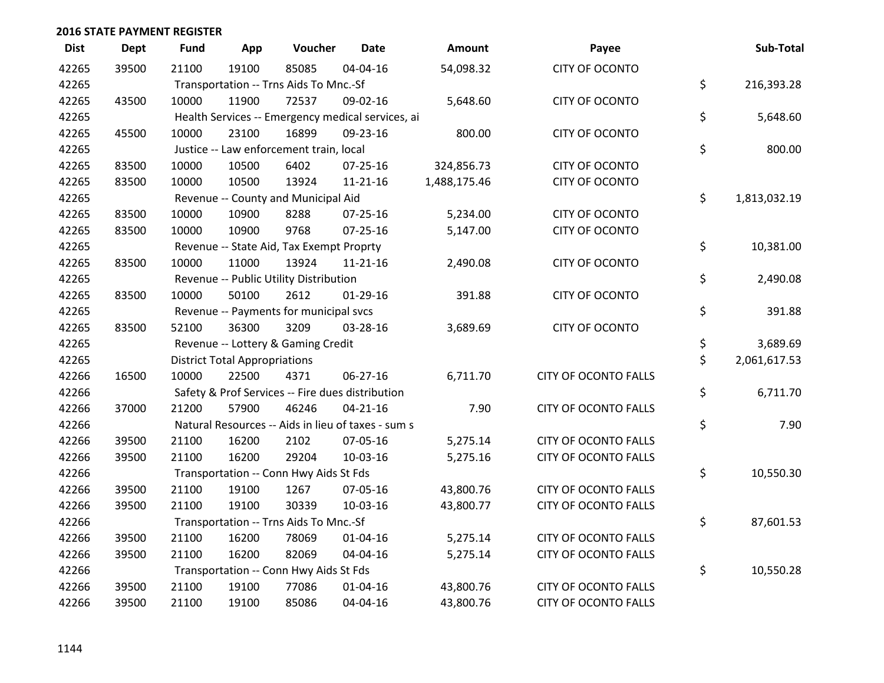| <b>Dist</b> | <b>Dept</b> | <b>Fund</b>                                        | App   | Voucher                                  | <b>Date</b>    | Amount       | Payee                       |    | Sub-Total    |
|-------------|-------------|----------------------------------------------------|-------|------------------------------------------|----------------|--------------|-----------------------------|----|--------------|
| 42265       | 39500       | 21100                                              | 19100 | 85085                                    | 04-04-16       | 54,098.32    | <b>CITY OF OCONTO</b>       |    |              |
| 42265       |             | Transportation -- Trns Aids To Mnc.-Sf             |       |                                          |                |              |                             |    | 216,393.28   |
| 42265       | 43500       | 10000                                              | 11900 | 72537                                    | 09-02-16       | 5,648.60     | <b>CITY OF OCONTO</b>       |    |              |
| 42265       |             | Health Services -- Emergency medical services, ai  |       |                                          |                |              |                             |    | 5,648.60     |
| 42265       | 45500       | 10000                                              | 23100 | 16899                                    | 09-23-16       | 800.00       | <b>CITY OF OCONTO</b>       |    |              |
| 42265       |             | Justice -- Law enforcement train, local            |       |                                          |                |              |                             | \$ | 800.00       |
| 42265       | 83500       | 10000                                              | 10500 | 6402                                     | 07-25-16       | 324,856.73   | <b>CITY OF OCONTO</b>       |    |              |
| 42265       | 83500       | 10000                                              | 10500 | 13924                                    | $11 - 21 - 16$ | 1,488,175.46 | CITY OF OCONTO              |    |              |
| 42265       |             | Revenue -- County and Municipal Aid                |       |                                          |                |              |                             |    | 1,813,032.19 |
| 42265       | 83500       | 10000                                              | 10900 | 8288                                     | 07-25-16       | 5,234.00     | <b>CITY OF OCONTO</b>       |    |              |
| 42265       | 83500       | 10000                                              | 10900 | 9768                                     | $07 - 25 - 16$ | 5,147.00     | CITY OF OCONTO              |    |              |
| 42265       |             |                                                    |       | Revenue -- State Aid, Tax Exempt Proprty |                |              |                             | \$ | 10,381.00    |
| 42265       | 83500       | 10000                                              | 11000 | 13924                                    | $11 - 21 - 16$ | 2,490.08     | CITY OF OCONTO              |    |              |
| 42265       |             | Revenue -- Public Utility Distribution             |       |                                          |                |              |                             |    | 2,490.08     |
| 42265       | 83500       | 10000                                              | 50100 | 2612                                     | $01-29-16$     | 391.88       | <b>CITY OF OCONTO</b>       |    |              |
| 42265       |             |                                                    |       | Revenue -- Payments for municipal svcs   |                |              |                             | \$ | 391.88       |
| 42265       | 83500       | 52100                                              | 36300 | 3209                                     | 03-28-16       | 3,689.69     | <b>CITY OF OCONTO</b>       |    |              |
| 42265       |             |                                                    |       | Revenue -- Lottery & Gaming Credit       |                |              |                             | \$ | 3,689.69     |
| 42265       |             | <b>District Total Appropriations</b>               |       |                                          |                |              |                             |    | 2,061,617.53 |
| 42266       | 16500       | 10000                                              | 22500 | 4371                                     | 06-27-16       | 6,711.70     | <b>CITY OF OCONTO FALLS</b> |    |              |
| 42266       |             | Safety & Prof Services -- Fire dues distribution   |       |                                          |                |              |                             |    | 6,711.70     |
| 42266       | 37000       | 21200                                              | 57900 | 46246                                    | $04 - 21 - 16$ | 7.90         | <b>CITY OF OCONTO FALLS</b> |    |              |
| 42266       |             | Natural Resources -- Aids in lieu of taxes - sum s |       |                                          |                |              |                             |    | 7.90         |
| 42266       | 39500       | 21100                                              | 16200 | 2102                                     | 07-05-16       | 5,275.14     | <b>CITY OF OCONTO FALLS</b> |    |              |
| 42266       | 39500       | 21100                                              | 16200 | 29204                                    | 10-03-16       | 5,275.16     | <b>CITY OF OCONTO FALLS</b> |    |              |
| 42266       |             | Transportation -- Conn Hwy Aids St Fds             |       |                                          |                |              |                             |    | 10,550.30    |
| 42266       | 39500       | 21100                                              | 19100 | 1267                                     | 07-05-16       | 43,800.76    | <b>CITY OF OCONTO FALLS</b> |    |              |
| 42266       | 39500       | 21100                                              | 19100 | 30339                                    | 10-03-16       | 43,800.77    | <b>CITY OF OCONTO FALLS</b> |    |              |
| 42266       |             | Transportation -- Trns Aids To Mnc.-Sf             |       |                                          |                |              |                             |    | 87,601.53    |
| 42266       | 39500       | 21100                                              | 16200 | 78069                                    | $01 - 04 - 16$ | 5,275.14     | <b>CITY OF OCONTO FALLS</b> |    |              |
| 42266       | 39500       | 21100                                              | 16200 | 82069                                    | 04-04-16       | 5,275.14     | <b>CITY OF OCONTO FALLS</b> |    |              |
| 42266       |             | Transportation -- Conn Hwy Aids St Fds             |       |                                          |                |              |                             |    | 10,550.28    |
| 42266       | 39500       | 21100                                              | 19100 | 77086                                    | 01-04-16       | 43,800.76    | <b>CITY OF OCONTO FALLS</b> |    |              |
| 42266       | 39500       | 21100                                              | 19100 | 85086                                    | 04-04-16       | 43,800.76    | <b>CITY OF OCONTO FALLS</b> |    |              |